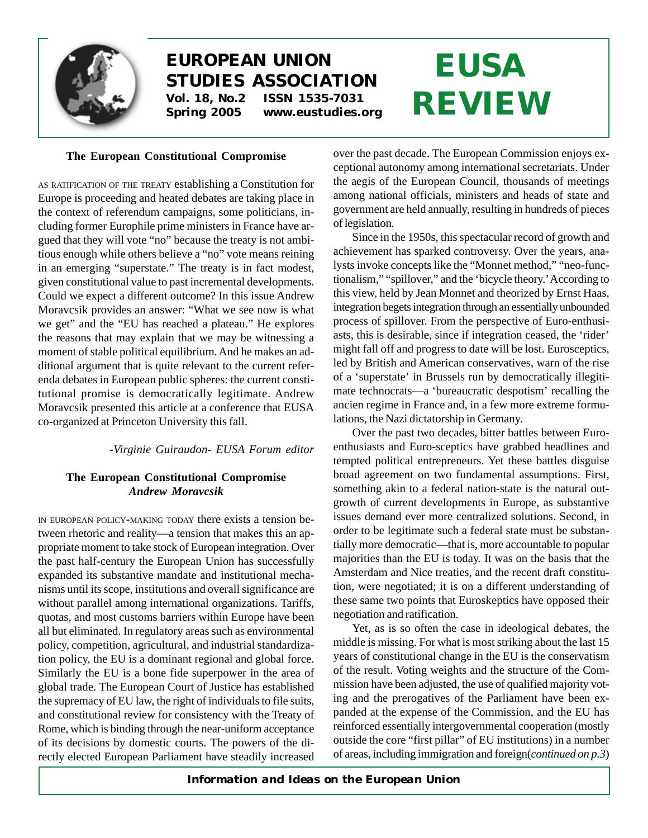

# **EUROPEAN UNION STUDIES ASSOCIATION Vol. 18, No.2 ISSN 1535-7031 Spring 2005 www.eustudies.org**

# **EUSA REVIEW**

### **The European Constitutional Compromise**

AS RATIFICATION OF THE TREATY establishing a Constitution for Europe is proceeding and heated debates are taking place in the context of referendum campaigns, some politicians, including former Europhile prime ministers in France have argued that they will vote "no" because the treaty is not ambitious enough while others believe a "no" vote means reining in an emerging "superstate." The treaty is in fact modest, given constitutional value to past incremental developments. Could we expect a different outcome? In this issue Andrew Moravcsik provides an answer: "What we see now is what we get" and the "EU has reached a plateau." He explores the reasons that may explain that we may be witnessing a moment of stable political equilibrium. And he makes an additional argument that is quite relevant to the current referenda debates in European public spheres: the current constitutional promise is democratically legitimate. Andrew Moravcsik presented this article at a conference that EUSA co-organized at Princeton University this fall.

#### *-Virginie Guiraudon- EUSA Forum editor*

#### **The European Constitutional Compromise** *Andrew Moravcsik*

IN EUROPEAN POLICY-MAKING TODAY there exists a tension between rhetoric and reality—a tension that makes this an appropriate moment to take stock of European integration. Over the past half-century the European Union has successfully expanded its substantive mandate and institutional mechanisms until its scope, institutions and overall significance are without parallel among international organizations. Tariffs, quotas, and most customs barriers within Europe have been all but eliminated. In regulatory areas such as environmental policy, competition, agricultural, and industrial standardization policy, the EU is a dominant regional and global force. Similarly the EU is a bone fide superpower in the area of global trade. The European Court of Justice has established the supremacy of EU law, the right of individuals to file suits, and constitutional review for consistency with the Treaty of Rome, which is binding through the near-uniform acceptance of its decisions by domestic courts. The powers of the directly elected European Parliament have steadily increased over the past decade. The European Commission enjoys exceptional autonomy among international secretariats. Under the aegis of the European Council, thousands of meetings among national officials, ministers and heads of state and government are held annually, resulting in hundreds of pieces of legislation.

Since in the 1950s, this spectacular record of growth and achievement has sparked controversy. Over the years, analysts invoke concepts like the "Monnet method," "neo-functionalism," "spillover," and the 'bicycle theory.' According to this view, held by Jean Monnet and theorized by Ernst Haas, integration begets integration through an essentially unbounded process of spillover. From the perspective of Euro-enthusiasts, this is desirable, since if integration ceased, the 'rider' might fall off and progress to date will be lost. Eurosceptics, led by British and American conservatives, warn of the rise of a 'superstate' in Brussels run by democratically illegitimate technocrats—a 'bureaucratic despotism' recalling the ancien regime in France and, in a few more extreme formulations, the Nazi dictatorship in Germany.

Over the past two decades, bitter battles between Euroenthusiasts and Euro-sceptics have grabbed headlines and tempted political entrepreneurs. Yet these battles disguise broad agreement on two fundamental assumptions. First, something akin to a federal nation-state is the natural outgrowth of current developments in Europe, as substantive issues demand ever more centralized solutions. Second, in order to be legitimate such a federal state must be substantially more democratic—that is, more accountable to popular majorities than the EU is today. It was on the basis that the Amsterdam and Nice treaties, and the recent draft constitution, were negotiated; it is on a different understanding of these same two points that Euroskeptics have opposed their negotiation and ratification.

Yet, as is so often the case in ideological debates, the middle is missing. For what is most striking about the last 15 years of constitutional change in the EU is the conservatism of the result. Voting weights and the structure of the Commission have been adjusted, the use of qualified majority voting and the prerogatives of the Parliament have been expanded at the expense of the Commission, and the EU has reinforced essentially intergovernmental cooperation (mostly outside the core "first pillar" of EU institutions) in a number of areas, including immigration and foreign(*continued on p.3*)

*Information and Ideas on the European Union*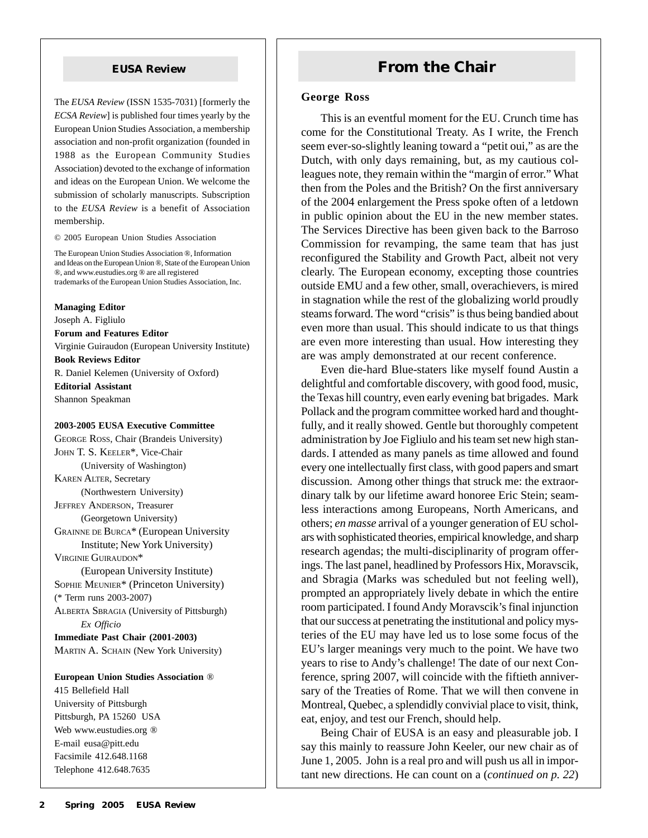The *EUSA Review* (ISSN 1535-7031) [formerly the *ECSA Review*] is published four times yearly by the European Union Studies Association, a membership association and non-profit organization (founded in 1988 as the European Community Studies Association) devoted to the exchange of information and ideas on the European Union. We welcome the submission of scholarly manuscripts. Subscription to the *EUSA Review* is a benefit of Association membership.

© 2005 European Union Studies Association

The European Union Studies Association ®, Information and Ideas on the European Union ®, State of the European Union ®, and www.eustudies.org ® are all registered trademarks of the European Union Studies Association, Inc.

**Managing Editor** Joseph A. Figliulo **Forum and Features Editor** Virginie Guiraudon (European University Institute) **Book Reviews Editor** R. Daniel Kelemen (University of Oxford) **Editorial Assistant** Shannon Speakman

#### **2003-2005 EUSA Executive Committee**

GEORGE ROSS, Chair (Brandeis University) JOHN T. S. KEELER\*, Vice-Chair (University of Washington) KAREN ALTER, Secretary (Northwestern University) JEFFREY ANDERSON, Treasurer (Georgetown University) GRAINNE DE BURCA\* (European University Institute; New York University) VIRGINIE GUIRAUDON\* (European University Institute) SOPHIE MEUNIER\* (Princeton University) (\* Term runs 2003-2007) ALBERTA SBRAGIA (University of Pittsburgh) *Ex Officio* **Immediate Past Chair (2001-2003)** MARTIN A. SCHAIN (New York University)

**European Union Studies Association** ® 415 Bellefield Hall University of Pittsburgh Pittsburgh, PA 15260 USA Web www.eustudies.org ® E-mail eusa@pitt.edu Facsimile 412.648.1168 Telephone 412.648.7635

## **EUSA Review <b>From the Chair**

#### **George Ross**

This is an eventful moment for the EU. Crunch time has come for the Constitutional Treaty. As I write, the French seem ever-so-slightly leaning toward a "petit oui," as are the Dutch, with only days remaining, but, as my cautious colleagues note, they remain within the "margin of error." What then from the Poles and the British? On the first anniversary of the 2004 enlargement the Press spoke often of a letdown in public opinion about the EU in the new member states. The Services Directive has been given back to the Barroso Commission for revamping, the same team that has just reconfigured the Stability and Growth Pact, albeit not very clearly. The European economy, excepting those countries outside EMU and a few other, small, overachievers, is mired in stagnation while the rest of the globalizing world proudly steams forward. The word "crisis" is thus being bandied about even more than usual. This should indicate to us that things are even more interesting than usual. How interesting they are was amply demonstrated at our recent conference.

Even die-hard Blue-staters like myself found Austin a delightful and comfortable discovery, with good food, music, the Texas hill country, even early evening bat brigades. Mark Pollack and the program committee worked hard and thoughtfully, and it really showed. Gentle but thoroughly competent administration by Joe Figliulo and his team set new high standards. I attended as many panels as time allowed and found every one intellectually first class, with good papers and smart discussion. Among other things that struck me: the extraordinary talk by our lifetime award honoree Eric Stein; seamless interactions among Europeans, North Americans, and others; *en masse* arrival of a younger generation of EU scholars with sophisticated theories, empirical knowledge, and sharp research agendas; the multi-disciplinarity of program offerings. The last panel, headlined by Professors Hix, Moravscik, and Sbragia (Marks was scheduled but not feeling well), prompted an appropriately lively debate in which the entire room participated. I found Andy Moravscik's final injunction that our success at penetrating the institutional and policy mysteries of the EU may have led us to lose some focus of the EU's larger meanings very much to the point. We have two years to rise to Andy's challenge! The date of our next Conference, spring 2007, will coincide with the fiftieth anniversary of the Treaties of Rome. That we will then convene in Montreal, Quebec, a splendidly convivial place to visit, think, eat, enjoy, and test our French, should help.

Being Chair of EUSA is an easy and pleasurable job. I say this mainly to reassure John Keeler, our new chair as of June 1, 2005. John is a real pro and will push us all in important new directions. He can count on a (*continued on p. 22*)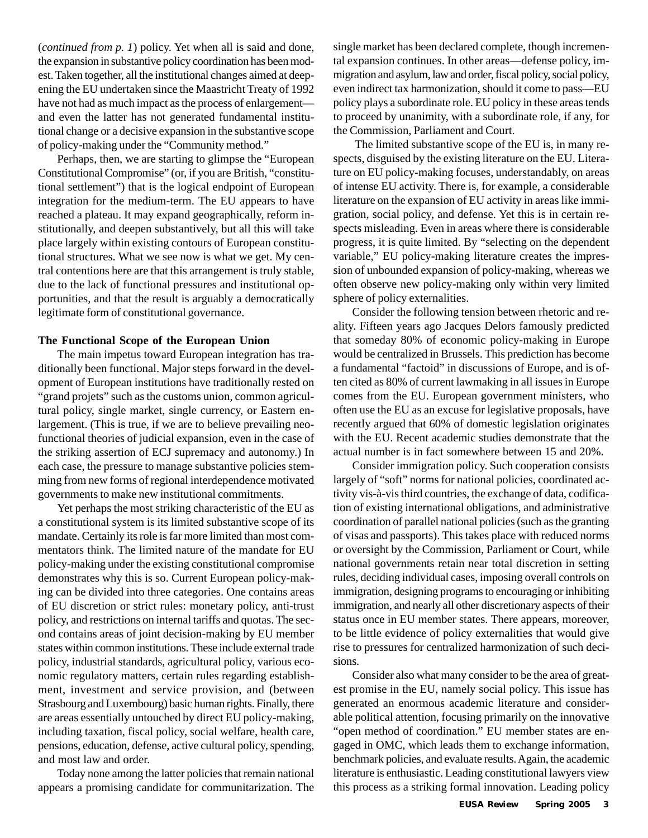(*continued from p. 1*) policy. Yet when all is said and done, the expansion in substantive policy coordination has been modest. Taken together, all the institutional changes aimed at deepening the EU undertaken since the Maastricht Treaty of 1992 have not had as much impact as the process of enlargement and even the latter has not generated fundamental institutional change or a decisive expansion in the substantive scope of policy-making under the "Community method."

Perhaps, then, we are starting to glimpse the "European Constitutional Compromise" (or, if you are British, "constitutional settlement") that is the logical endpoint of European integration for the medium-term. The EU appears to have reached a plateau. It may expand geographically, reform institutionally, and deepen substantively, but all this will take place largely within existing contours of European constitutional structures. What we see now is what we get. My central contentions here are that this arrangement is truly stable, due to the lack of functional pressures and institutional opportunities, and that the result is arguably a democratically legitimate form of constitutional governance.

#### **The Functional Scope of the European Union**

The main impetus toward European integration has traditionally been functional. Major steps forward in the development of European institutions have traditionally rested on "grand projets" such as the customs union, common agricultural policy, single market, single currency, or Eastern enlargement. (This is true, if we are to believe prevailing neofunctional theories of judicial expansion, even in the case of the striking assertion of ECJ supremacy and autonomy.) In each case, the pressure to manage substantive policies stemming from new forms of regional interdependence motivated governments to make new institutional commitments.

Yet perhaps the most striking characteristic of the EU as a constitutional system is its limited substantive scope of its mandate. Certainly its role is far more limited than most commentators think. The limited nature of the mandate for EU policy-making under the existing constitutional compromise demonstrates why this is so. Current European policy-making can be divided into three categories. One contains areas of EU discretion or strict rules: monetary policy, anti-trust policy, and restrictions on internal tariffs and quotas. The second contains areas of joint decision-making by EU member states within common institutions. These include external trade policy, industrial standards, agricultural policy, various economic regulatory matters, certain rules regarding establishment, investment and service provision, and (between Strasbourg and Luxembourg) basic human rights. Finally, there are areas essentially untouched by direct EU policy-making, including taxation, fiscal policy, social welfare, health care, pensions, education, defense, active cultural policy, spending, and most law and order.

Today none among the latter policies that remain national appears a promising candidate for communitarization. The single market has been declared complete, though incremental expansion continues. In other areas—defense policy, immigration and asylum, law and order, fiscal policy, social policy, even indirect tax harmonization, should it come to pass—EU policy plays a subordinate role. EU policy in these areas tends to proceed by unanimity, with a subordinate role, if any, for the Commission, Parliament and Court.

 The limited substantive scope of the EU is, in many respects, disguised by the existing literature on the EU. Literature on EU policy-making focuses, understandably, on areas of intense EU activity. There is, for example, a considerable literature on the expansion of EU activity in areas like immigration, social policy, and defense. Yet this is in certain respects misleading. Even in areas where there is considerable progress, it is quite limited. By "selecting on the dependent variable," EU policy-making literature creates the impression of unbounded expansion of policy-making, whereas we often observe new policy-making only within very limited sphere of policy externalities.

Consider the following tension between rhetoric and reality. Fifteen years ago Jacques Delors famously predicted that someday 80% of economic policy-making in Europe would be centralized in Brussels. This prediction has become a fundamental "factoid" in discussions of Europe, and is often cited as 80% of current lawmaking in all issues in Europe comes from the EU. European government ministers, who often use the EU as an excuse for legislative proposals, have recently argued that 60% of domestic legislation originates with the EU. Recent academic studies demonstrate that the actual number is in fact somewhere between 15 and 20%.

Consider immigration policy. Such cooperation consists largely of "soft" norms for national policies, coordinated activity vis-à-vis third countries, the exchange of data, codification of existing international obligations, and administrative coordination of parallel national policies (such as the granting of visas and passports). This takes place with reduced norms or oversight by the Commission, Parliament or Court, while national governments retain near total discretion in setting rules, deciding individual cases, imposing overall controls on immigration, designing programs to encouraging or inhibiting immigration, and nearly all other discretionary aspects of their status once in EU member states. There appears, moreover, to be little evidence of policy externalities that would give rise to pressures for centralized harmonization of such decisions.

Consider also what many consider to be the area of greatest promise in the EU, namely social policy. This issue has generated an enormous academic literature and considerable political attention, focusing primarily on the innovative "open method of coordination." EU member states are engaged in OMC, which leads them to exchange information, benchmark policies, and evaluate results. Again, the academic literature is enthusiastic. Leading constitutional lawyers view this process as a striking formal innovation. Leading policy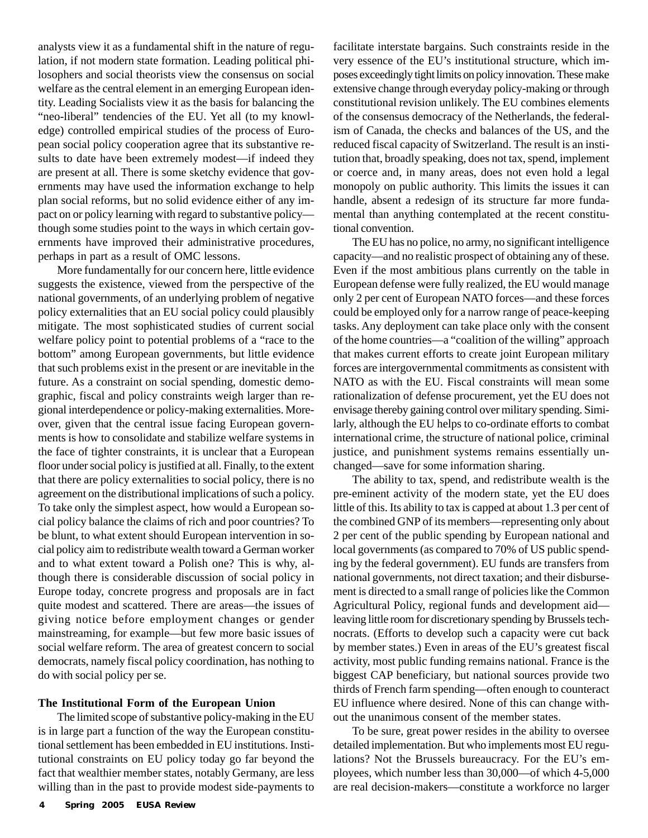analysts view it as a fundamental shift in the nature of regulation, if not modern state formation. Leading political philosophers and social theorists view the consensus on social welfare as the central element in an emerging European identity. Leading Socialists view it as the basis for balancing the "neo-liberal" tendencies of the EU. Yet all (to my knowledge) controlled empirical studies of the process of European social policy cooperation agree that its substantive results to date have been extremely modest—if indeed they are present at all. There is some sketchy evidence that governments may have used the information exchange to help plan social reforms, but no solid evidence either of any impact on or policy learning with regard to substantive policy though some studies point to the ways in which certain governments have improved their administrative procedures, perhaps in part as a result of OMC lessons.

More fundamentally for our concern here, little evidence suggests the existence, viewed from the perspective of the national governments, of an underlying problem of negative policy externalities that an EU social policy could plausibly mitigate. The most sophisticated studies of current social welfare policy point to potential problems of a "race to the bottom" among European governments, but little evidence that such problems exist in the present or are inevitable in the future. As a constraint on social spending, domestic demographic, fiscal and policy constraints weigh larger than regional interdependence or policy-making externalities. Moreover, given that the central issue facing European governments is how to consolidate and stabilize welfare systems in the face of tighter constraints, it is unclear that a European floor under social policy is justified at all. Finally, to the extent that there are policy externalities to social policy, there is no agreement on the distributional implications of such a policy. To take only the simplest aspect, how would a European social policy balance the claims of rich and poor countries? To be blunt, to what extent should European intervention in social policy aim to redistribute wealth toward a German worker and to what extent toward a Polish one? This is why, although there is considerable discussion of social policy in Europe today, concrete progress and proposals are in fact quite modest and scattered. There are areas—the issues of giving notice before employment changes or gender mainstreaming, for example—but few more basic issues of social welfare reform. The area of greatest concern to social democrats, namely fiscal policy coordination, has nothing to do with social policy per se.

#### **The Institutional Form of the European Union**

The limited scope of substantive policy-making in the EU is in large part a function of the way the European constitutional settlement has been embedded in EU institutions. Institutional constraints on EU policy today go far beyond the fact that wealthier member states, notably Germany, are less willing than in the past to provide modest side-payments to facilitate interstate bargains. Such constraints reside in the very essence of the EU's institutional structure, which imposes exceedingly tight limits on policy innovation. These make extensive change through everyday policy-making or through constitutional revision unlikely. The EU combines elements of the consensus democracy of the Netherlands, the federalism of Canada, the checks and balances of the US, and the reduced fiscal capacity of Switzerland. The result is an institution that, broadly speaking, does not tax, spend, implement or coerce and, in many areas, does not even hold a legal monopoly on public authority. This limits the issues it can handle, absent a redesign of its structure far more fundamental than anything contemplated at the recent constitutional convention.

The EU has no police, no army, no significant intelligence capacity—and no realistic prospect of obtaining any of these. Even if the most ambitious plans currently on the table in European defense were fully realized, the EU would manage only 2 per cent of European NATO forces—and these forces could be employed only for a narrow range of peace-keeping tasks. Any deployment can take place only with the consent of the home countries—a "coalition of the willing" approach that makes current efforts to create joint European military forces are intergovernmental commitments as consistent with NATO as with the EU. Fiscal constraints will mean some rationalization of defense procurement, yet the EU does not envisage thereby gaining control over military spending. Similarly, although the EU helps to co-ordinate efforts to combat international crime, the structure of national police, criminal justice, and punishment systems remains essentially unchanged—save for some information sharing.

The ability to tax, spend, and redistribute wealth is the pre-eminent activity of the modern state, yet the EU does little of this. Its ability to tax is capped at about 1.3 per cent of the combined GNP of its members—representing only about 2 per cent of the public spending by European national and local governments (as compared to 70% of US public spending by the federal government). EU funds are transfers from national governments, not direct taxation; and their disbursement is directed to a small range of policies like the Common Agricultural Policy, regional funds and development aid leaving little room for discretionary spending by Brussels technocrats. (Efforts to develop such a capacity were cut back by member states.) Even in areas of the EU's greatest fiscal activity, most public funding remains national. France is the biggest CAP beneficiary, but national sources provide two thirds of French farm spending—often enough to counteract EU influence where desired. None of this can change without the unanimous consent of the member states.

To be sure, great power resides in the ability to oversee detailed implementation. But who implements most EU regulations? Not the Brussels bureaucracy. For the EU's employees, which number less than 30,000—of which 4-5,000 are real decision-makers—constitute a workforce no larger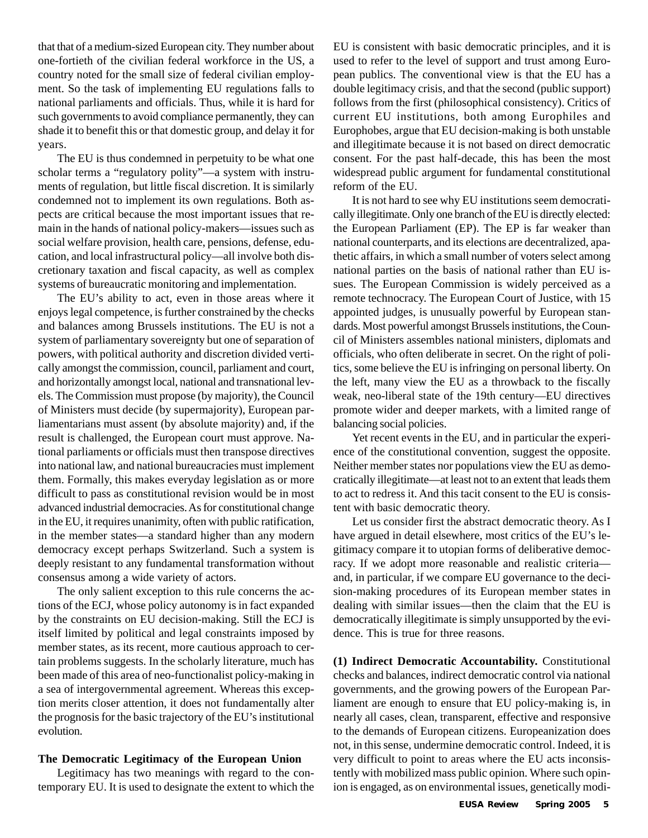that that of a medium-sized European city. They number about one-fortieth of the civilian federal workforce in the US, a country noted for the small size of federal civilian employment. So the task of implementing EU regulations falls to national parliaments and officials. Thus, while it is hard for such governments to avoid compliance permanently, they can shade it to benefit this or that domestic group, and delay it for years.

The EU is thus condemned in perpetuity to be what one scholar terms a "regulatory polity"—a system with instruments of regulation, but little fiscal discretion. It is similarly condemned not to implement its own regulations. Both aspects are critical because the most important issues that remain in the hands of national policy-makers—issues such as social welfare provision, health care, pensions, defense, education, and local infrastructural policy—all involve both discretionary taxation and fiscal capacity, as well as complex systems of bureaucratic monitoring and implementation.

The EU's ability to act, even in those areas where it enjoys legal competence, is further constrained by the checks and balances among Brussels institutions. The EU is not a system of parliamentary sovereignty but one of separation of powers, with political authority and discretion divided vertically amongst the commission, council, parliament and court, and horizontally amongst local, national and transnational levels. The Commission must propose (by majority), the Council of Ministers must decide (by supermajority), European parliamentarians must assent (by absolute majority) and, if the result is challenged, the European court must approve. National parliaments or officials must then transpose directives into national law, and national bureaucracies must implement them. Formally, this makes everyday legislation as or more difficult to pass as constitutional revision would be in most advanced industrial democracies. As for constitutional change in the EU, it requires unanimity, often with public ratification, in the member states—a standard higher than any modern democracy except perhaps Switzerland. Such a system is deeply resistant to any fundamental transformation without consensus among a wide variety of actors.

The only salient exception to this rule concerns the actions of the ECJ, whose policy autonomy is in fact expanded by the constraints on EU decision-making. Still the ECJ is itself limited by political and legal constraints imposed by member states, as its recent, more cautious approach to certain problems suggests. In the scholarly literature, much has been made of this area of neo-functionalist policy-making in a sea of intergovernmental agreement. Whereas this exception merits closer attention, it does not fundamentally alter the prognosis for the basic trajectory of the EU's institutional evolution.

#### **The Democratic Legitimacy of the European Union**

Legitimacy has two meanings with regard to the contemporary EU. It is used to designate the extent to which the EU is consistent with basic democratic principles, and it is used to refer to the level of support and trust among European publics. The conventional view is that the EU has a double legitimacy crisis, and that the second (public support) follows from the first (philosophical consistency). Critics of current EU institutions, both among Europhiles and Europhobes, argue that EU decision-making is both unstable and illegitimate because it is not based on direct democratic consent. For the past half-decade, this has been the most widespread public argument for fundamental constitutional reform of the EU.

It is not hard to see why EU institutions seem democratically illegitimate. Only one branch of the EU is directly elected: the European Parliament (EP). The EP is far weaker than national counterparts, and its elections are decentralized, apathetic affairs, in which a small number of voters select among national parties on the basis of national rather than EU issues. The European Commission is widely perceived as a remote technocracy. The European Court of Justice, with 15 appointed judges, is unusually powerful by European standards. Most powerful amongst Brussels institutions, the Council of Ministers assembles national ministers, diplomats and officials, who often deliberate in secret. On the right of politics, some believe the EU is infringing on personal liberty. On the left, many view the EU as a throwback to the fiscally weak, neo-liberal state of the 19th century—EU directives promote wider and deeper markets, with a limited range of balancing social policies.

Yet recent events in the EU, and in particular the experience of the constitutional convention, suggest the opposite. Neither member states nor populations view the EU as democratically illegitimate—at least not to an extent that leads them to act to redress it. And this tacit consent to the EU is consistent with basic democratic theory.

Let us consider first the abstract democratic theory. As I have argued in detail elsewhere, most critics of the EU's legitimacy compare it to utopian forms of deliberative democracy. If we adopt more reasonable and realistic criteria and, in particular, if we compare EU governance to the decision-making procedures of its European member states in dealing with similar issues—then the claim that the EU is democratically illegitimate is simply unsupported by the evidence. This is true for three reasons.

**(1) Indirect Democratic Accountability.** Constitutional checks and balances, indirect democratic control via national governments, and the growing powers of the European Parliament are enough to ensure that EU policy-making is, in nearly all cases, clean, transparent, effective and responsive to the demands of European citizens. Europeanization does not, in this sense, undermine democratic control. Indeed, it is very difficult to point to areas where the EU acts inconsistently with mobilized mass public opinion. Where such opinion is engaged, as on environmental issues, genetically modi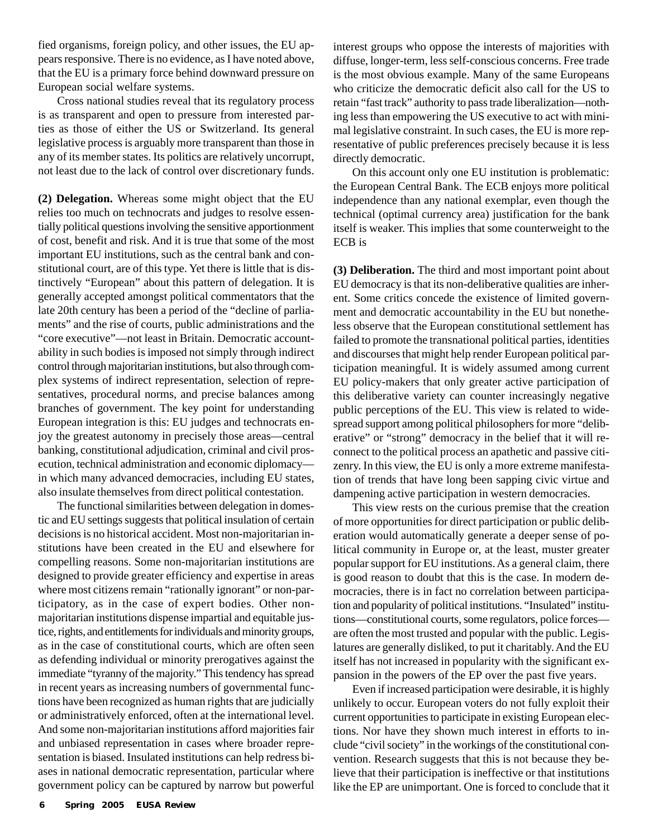fied organisms, foreign policy, and other issues, the EU appears responsive. There is no evidence, as I have noted above, that the EU is a primary force behind downward pressure on European social welfare systems.

Cross national studies reveal that its regulatory process is as transparent and open to pressure from interested parties as those of either the US or Switzerland. Its general legislative process is arguably more transparent than those in any of its member states. Its politics are relatively uncorrupt, not least due to the lack of control over discretionary funds.

**(2) Delegation.** Whereas some might object that the EU relies too much on technocrats and judges to resolve essentially political questions involving the sensitive apportionment of cost, benefit and risk. And it is true that some of the most important EU institutions, such as the central bank and constitutional court, are of this type. Yet there is little that is distinctively "European" about this pattern of delegation. It is generally accepted amongst political commentators that the late 20th century has been a period of the "decline of parliaments" and the rise of courts, public administrations and the "core executive"—not least in Britain. Democratic accountability in such bodies is imposed not simply through indirect control through majoritarian institutions, but also through complex systems of indirect representation, selection of representatives, procedural norms, and precise balances among branches of government. The key point for understanding European integration is this: EU judges and technocrats enjoy the greatest autonomy in precisely those areas—central banking, constitutional adjudication, criminal and civil prosecution, technical administration and economic diplomacy in which many advanced democracies, including EU states, also insulate themselves from direct political contestation.

The functional similarities between delegation in domestic and EU settings suggests that political insulation of certain decisions is no historical accident. Most non-majoritarian institutions have been created in the EU and elsewhere for compelling reasons. Some non-majoritarian institutions are designed to provide greater efficiency and expertise in areas where most citizens remain "rationally ignorant" or non-participatory, as in the case of expert bodies. Other nonmajoritarian institutions dispense impartial and equitable justice, rights, and entitlements for individuals and minority groups, as in the case of constitutional courts, which are often seen as defending individual or minority prerogatives against the immediate "tyranny of the majority." This tendency has spread in recent years as increasing numbers of governmental functions have been recognized as human rights that are judicially or administratively enforced, often at the international level. And some non-majoritarian institutions afford majorities fair and unbiased representation in cases where broader representation is biased. Insulated institutions can help redress biases in national democratic representation, particular where government policy can be captured by narrow but powerful

interest groups who oppose the interests of majorities with diffuse, longer-term, less self-conscious concerns. Free trade is the most obvious example. Many of the same Europeans who criticize the democratic deficit also call for the US to retain "fast track" authority to pass trade liberalization—nothing less than empowering the US executive to act with minimal legislative constraint. In such cases, the EU is more representative of public preferences precisely because it is less directly democratic.

On this account only one EU institution is problematic: the European Central Bank. The ECB enjoys more political independence than any national exemplar, even though the technical (optimal currency area) justification for the bank itself is weaker. This implies that some counterweight to the ECB is

**(3) Deliberation.** The third and most important point about EU democracy is that its non-deliberative qualities are inherent. Some critics concede the existence of limited government and democratic accountability in the EU but nonetheless observe that the European constitutional settlement has failed to promote the transnational political parties, identities and discourses that might help render European political participation meaningful. It is widely assumed among current EU policy-makers that only greater active participation of this deliberative variety can counter increasingly negative public perceptions of the EU. This view is related to widespread support among political philosophers for more "deliberative" or "strong" democracy in the belief that it will reconnect to the political process an apathetic and passive citizenry. In this view, the EU is only a more extreme manifestation of trends that have long been sapping civic virtue and dampening active participation in western democracies.

This view rests on the curious premise that the creation of more opportunities for direct participation or public deliberation would automatically generate a deeper sense of political community in Europe or, at the least, muster greater popular support for EU institutions. As a general claim, there is good reason to doubt that this is the case. In modern democracies, there is in fact no correlation between participation and popularity of political institutions. "Insulated" institutions—constitutional courts, some regulators, police forces are often the most trusted and popular with the public. Legislatures are generally disliked, to put it charitably. And the EU itself has not increased in popularity with the significant expansion in the powers of the EP over the past five years.

Even if increased participation were desirable, it is highly unlikely to occur. European voters do not fully exploit their current opportunities to participate in existing European elections. Nor have they shown much interest in efforts to include "civil society" in the workings of the constitutional convention. Research suggests that this is not because they believe that their participation is ineffective or that institutions like the EP are unimportant. One is forced to conclude that it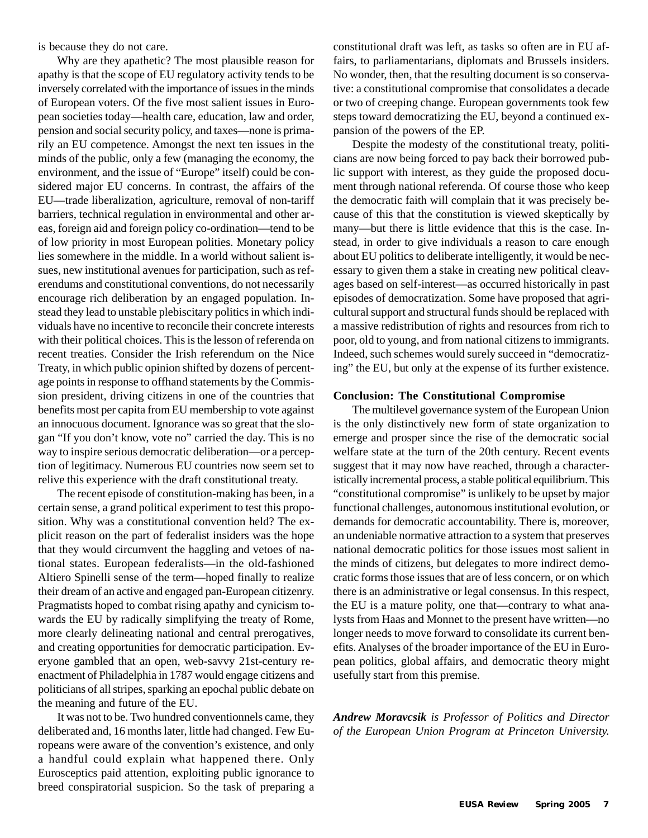is because they do not care.

Why are they apathetic? The most plausible reason for apathy is that the scope of EU regulatory activity tends to be inversely correlated with the importance of issues in the minds of European voters. Of the five most salient issues in European societies today—health care, education, law and order, pension and social security policy, and taxes—none is primarily an EU competence. Amongst the next ten issues in the minds of the public, only a few (managing the economy, the environment, and the issue of "Europe" itself) could be considered major EU concerns. In contrast, the affairs of the EU—trade liberalization, agriculture, removal of non-tariff barriers, technical regulation in environmental and other areas, foreign aid and foreign policy co-ordination—tend to be of low priority in most European polities. Monetary policy lies somewhere in the middle. In a world without salient issues, new institutional avenues for participation, such as referendums and constitutional conventions, do not necessarily encourage rich deliberation by an engaged population. Instead they lead to unstable plebiscitary politics in which individuals have no incentive to reconcile their concrete interests with their political choices. This is the lesson of referenda on recent treaties. Consider the Irish referendum on the Nice Treaty, in which public opinion shifted by dozens of percentage points in response to offhand statements by the Commission president, driving citizens in one of the countries that benefits most per capita from EU membership to vote against an innocuous document. Ignorance was so great that the slogan "If you don't know, vote no" carried the day. This is no way to inspire serious democratic deliberation—or a perception of legitimacy. Numerous EU countries now seem set to relive this experience with the draft constitutional treaty.

The recent episode of constitution-making has been, in a certain sense, a grand political experiment to test this proposition. Why was a constitutional convention held? The explicit reason on the part of federalist insiders was the hope that they would circumvent the haggling and vetoes of national states. European federalists—in the old-fashioned Altiero Spinelli sense of the term—hoped finally to realize their dream of an active and engaged pan-European citizenry. Pragmatists hoped to combat rising apathy and cynicism towards the EU by radically simplifying the treaty of Rome, more clearly delineating national and central prerogatives, and creating opportunities for democratic participation. Everyone gambled that an open, web-savvy 21st-century reenactment of Philadelphia in 1787 would engage citizens and politicians of all stripes, sparking an epochal public debate on the meaning and future of the EU.

It was not to be. Two hundred conventionnels came, they deliberated and, 16 months later, little had changed. Few Europeans were aware of the convention's existence, and only a handful could explain what happened there. Only Eurosceptics paid attention, exploiting public ignorance to breed conspiratorial suspicion. So the task of preparing a constitutional draft was left, as tasks so often are in EU affairs, to parliamentarians, diplomats and Brussels insiders. No wonder, then, that the resulting document is so conservative: a constitutional compromise that consolidates a decade or two of creeping change. European governments took few steps toward democratizing the EU, beyond a continued expansion of the powers of the EP.

Despite the modesty of the constitutional treaty, politicians are now being forced to pay back their borrowed public support with interest, as they guide the proposed document through national referenda. Of course those who keep the democratic faith will complain that it was precisely because of this that the constitution is viewed skeptically by many—but there is little evidence that this is the case. Instead, in order to give individuals a reason to care enough about EU politics to deliberate intelligently, it would be necessary to given them a stake in creating new political cleavages based on self-interest—as occurred historically in past episodes of democratization. Some have proposed that agricultural support and structural funds should be replaced with a massive redistribution of rights and resources from rich to poor, old to young, and from national citizens to immigrants. Indeed, such schemes would surely succeed in "democratizing" the EU, but only at the expense of its further existence.

#### **Conclusion: The Constitutional Compromise**

The multilevel governance system of the European Union is the only distinctively new form of state organization to emerge and prosper since the rise of the democratic social welfare state at the turn of the 20th century. Recent events suggest that it may now have reached, through a characteristically incremental process, a stable political equilibrium. This "constitutional compromise" is unlikely to be upset by major functional challenges, autonomous institutional evolution, or demands for democratic accountability. There is, moreover, an undeniable normative attraction to a system that preserves national democratic politics for those issues most salient in the minds of citizens, but delegates to more indirect democratic forms those issues that are of less concern, or on which there is an administrative or legal consensus. In this respect, the EU is a mature polity, one that—contrary to what analysts from Haas and Monnet to the present have written—no longer needs to move forward to consolidate its current benefits. Analyses of the broader importance of the EU in European politics, global affairs, and democratic theory might usefully start from this premise.

*Andrew Moravcsik is Professor of Politics and Director of the European Union Program at Princeton University.*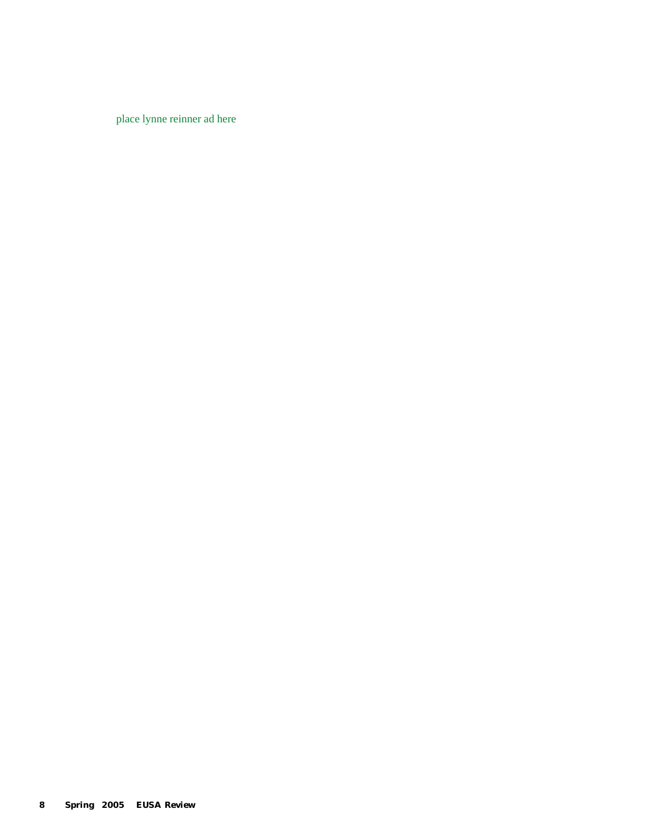place lynne reinner ad here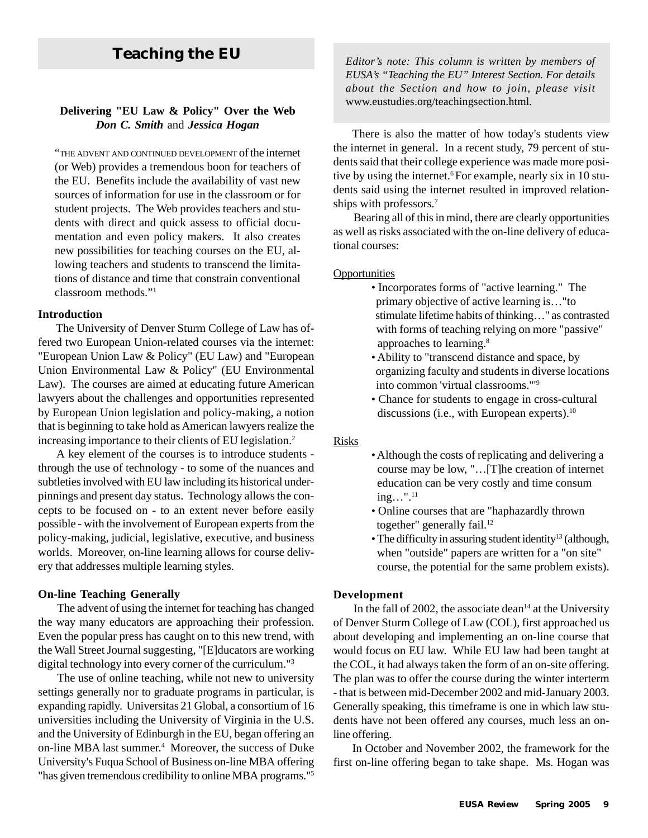# www.eustudies.org/teachingsection.html*.* **Delivering "EU Law & Policy" Over the Web** *Don C. Smith* and *Jessica Hogan*

"THE ADVENT AND CONTINUED DEVELOPMENT of the internet (or Web) provides a tremendous boon for teachers of the EU. Benefits include the availability of vast new sources of information for use in the classroom or for student projects. The Web provides teachers and students with direct and quick assess to official documentation and even policy makers. It also creates new possibilities for teaching courses on the EU, allowing teachers and students to transcend the limitations of distance and time that constrain conventional classroom methods."1

#### **Introduction**

The University of Denver Sturm College of Law has offered two European Union-related courses via the internet: "European Union Law & Policy" (EU Law) and "European Union Environmental Law & Policy" (EU Environmental Law). The courses are aimed at educating future American lawyers about the challenges and opportunities represented by European Union legislation and policy-making, a notion that is beginning to take hold as American lawyers realize the increasing importance to their clients of EU legislation.2

A key element of the courses is to introduce students through the use of technology - to some of the nuances and subtleties involved with EU law including its historical underpinnings and present day status. Technology allows the concepts to be focused on - to an extent never before easily possible - with the involvement of European experts from the policy-making, judicial, legislative, executive, and business worlds. Moreover, on-line learning allows for course delivery that addresses multiple learning styles.

#### **On-line Teaching Generally**

The advent of using the internet for teaching has changed the way many educators are approaching their profession. Even the popular press has caught on to this new trend, with the Wall Street Journal suggesting, "[E]ducators are working digital technology into every corner of the curriculum."3

The use of online teaching, while not new to university settings generally nor to graduate programs in particular, is expanding rapidly. Universitas 21 Global, a consortium of 16 universities including the University of Virginia in the U.S. and the University of Edinburgh in the EU, began offering an on-line MBA last summer.<sup>4</sup> Moreover, the success of Duke University's Fuqua School of Business on-line MBA offering "has given tremendous credibility to online MBA programs."5

**Teaching the EU** *Editor's note: This column is written by members of EUSA's "Teaching the EU" Interest Section. For details about the Section and how to join, please visit*

> There is also the matter of how today's students view the internet in general. In a recent study, 79 percent of students said that their college experience was made more positive by using the internet.<sup>6</sup> For example, nearly six in 10 students said using the internet resulted in improved relationships with professors.7

> Bearing all of this in mind, there are clearly opportunities as well as risks associated with the on-line delivery of educational courses:

#### **Opportunities**

- Incorporates forms of "active learning." The primary objective of active learning is…"to stimulate lifetime habits of thinking…" as contrasted with forms of teaching relying on more "passive" approaches to learning.8
- Ability to "transcend distance and space, by organizing faculty and students in diverse locations into common 'virtual classrooms.'"9
- Chance for students to engage in cross-cultural discussions (i.e., with European experts).<sup>10</sup>

#### Risks

- Although the costs of replicating and delivering a course may be low, "…[T]he creation of internet education can be very costly and time consum  $ing...$ ".<sup>11</sup>
- Online courses that are "haphazardly thrown together" generally fail.<sup>12</sup>
- The difficulty in assuring student identity<sup>13</sup> (although, when "outside" papers are written for a "on site" course, the potential for the same problem exists).

#### **Development**

In the fall of 2002, the associate dean<sup>14</sup> at the University of Denver Sturm College of Law (COL), first approached us about developing and implementing an on-line course that would focus on EU law. While EU law had been taught at the COL, it had always taken the form of an on-site offering. The plan was to offer the course during the winter interterm - that is between mid-December 2002 and mid-January 2003. Generally speaking, this timeframe is one in which law students have not been offered any courses, much less an online offering.

In October and November 2002, the framework for the first on-line offering began to take shape. Ms. Hogan was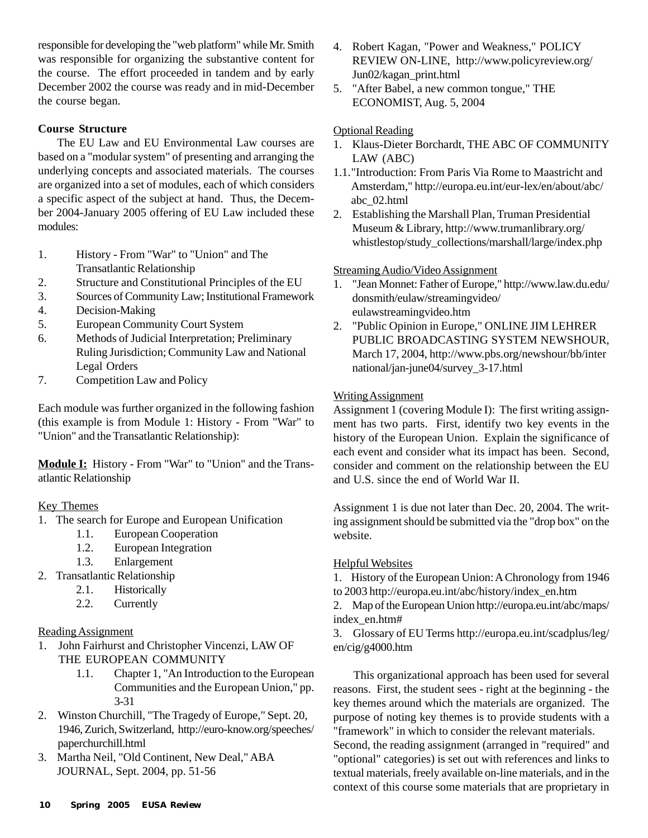responsible for developing the "web platform" while Mr. Smith was responsible for organizing the substantive content for the course. The effort proceeded in tandem and by early December 2002 the course was ready and in mid-December the course began.

#### **Course Structure**

The EU Law and EU Environmental Law courses are based on a "modular system" of presenting and arranging the underlying concepts and associated materials. The courses are organized into a set of modules, each of which considers a specific aspect of the subject at hand. Thus, the December 2004-January 2005 offering of EU Law included these modules:

- 1. History From "War" to "Union" and The Transatlantic Relationship
- 2. Structure and Constitutional Principles of the EU
- 3. Sources of Community Law; Institutional Framework
- 4. Decision-Making
- 5. European Community Court System
- 6. Methods of Judicial Interpretation; Preliminary Ruling Jurisdiction; Community Law and National Legal Orders
- 7. Competition Law and Policy

Each module was further organized in the following fashion (this example is from Module 1: History - From "War" to "Union" and the Transatlantic Relationship):

**Module I:** History - From "War" to "Union" and the Transatlantic Relationship

### Key Themes

- 1. The search for Europe and European Unification
	- 1.1. European Cooperation
	- 1.2. European Integration
	- 1.3. Enlargement
- 2. Transatlantic Relationship
	- 2.1. Historically
	- 2.2. Currently

#### Reading Assignment

- 1. John Fairhurst and Christopher Vincenzi, LAW OF THE EUROPEAN COMMUNITY
	- 1.1. Chapter 1, "An Introduction to the European Communities and the European Union," pp. 3-31
- 2. Winston Churchill, "The Tragedy of Europe," Sept. 20, 1946, Zurich, Switzerland, http://euro-know.org/speeches/ paperchurchill.html
- 3. Martha Neil, "Old Continent, New Deal," ABA JOURNAL, Sept. 2004, pp. 51-56
- 4. Robert Kagan, "Power and Weakness," POLICY REVIEW ON-LINE, http://www.policyreview.org/ Jun02/kagan\_print.html
- 5. "After Babel, a new common tongue," THE ECONOMIST, Aug. 5, 2004

#### Optional Reading

- 1. Klaus-Dieter Borchardt, THE ABC OF COMMUNITY LAW (ABC)
- 1.1."Introduction: From Paris Via Rome to Maastricht and Amsterdam," http://europa.eu.int/eur-lex/en/about/abc/ abc\_02.html
- 2. Establishing the Marshall Plan, Truman Presidential Museum & Library, http://www.trumanlibrary.org/ whistlestop/study\_collections/marshall/large/index.php

#### Streaming Audio/Video Assignment

- 1. "Jean Monnet: Father of Europe," http://www.law.du.edu/ donsmith/eulaw/streamingvideo/ eulawstreamingvideo.htm
- 2. "Public Opinion in Europe," ONLINE JIM LEHRER PUBLIC BROADCASTING SYSTEM NEWSHOUR, March 17, 2004, http://www.pbs.org/newshour/bb/inter national/jan-june04/survey\_3-17.html

#### **Writing Assignment**

Assignment 1 (covering Module I): The first writing assignment has two parts. First, identify two key events in the history of the European Union. Explain the significance of each event and consider what its impact has been. Second, consider and comment on the relationship between the EU and U.S. since the end of World War II.

Assignment 1 is due not later than Dec. 20, 2004. The writing assignment should be submitted via the "drop box" on the website.

#### Helpful Websites

1. History of the European Union: A Chronology from 1946 to 2003 http://europa.eu.int/abc/history/index\_en.htm

2. Map of the European Union http://europa.eu.int/abc/maps/ index\_en.htm#

3. Glossary of EU Terms http://europa.eu.int/scadplus/leg/ en/cig/g4000.htm

This organizational approach has been used for several reasons. First, the student sees - right at the beginning - the key themes around which the materials are organized. The purpose of noting key themes is to provide students with a "framework" in which to consider the relevant materials. Second, the reading assignment (arranged in "required" and

"optional" categories) is set out with references and links to textual materials, freely available on-line materials, and in the context of this course some materials that are proprietary in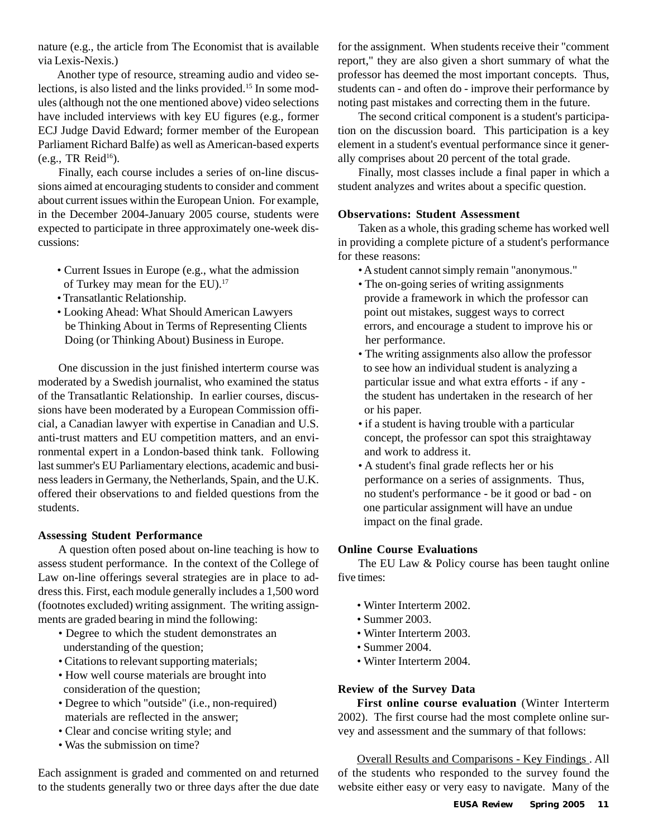nature (e.g., the article from The Economist that is available via Lexis-Nexis.)

Another type of resource, streaming audio and video selections, is also listed and the links provided.15 In some modules (although not the one mentioned above) video selections have included interviews with key EU figures (e.g., former ECJ Judge David Edward; former member of the European Parliament Richard Balfe) as well as American-based experts (e.g., TR Reid $^{16}$ ).

Finally, each course includes a series of on-line discussions aimed at encouraging students to consider and comment about current issues within the European Union. For example, in the December 2004-January 2005 course, students were expected to participate in three approximately one-week discussions:

- Current Issues in Europe (e.g., what the admission of Turkey may mean for the EU).17
- Transatlantic Relationship.
- Looking Ahead: What Should American Lawyers be Thinking About in Terms of Representing Clients Doing (or Thinking About) Business in Europe.

One discussion in the just finished interterm course was moderated by a Swedish journalist, who examined the status of the Transatlantic Relationship. In earlier courses, discussions have been moderated by a European Commission official, a Canadian lawyer with expertise in Canadian and U.S. anti-trust matters and EU competition matters, and an environmental expert in a London-based think tank. Following last summer's EU Parliamentary elections, academic and business leaders in Germany, the Netherlands, Spain, and the U.K. offered their observations to and fielded questions from the students.

#### **Assessing Student Performance**

A question often posed about on-line teaching is how to assess student performance. In the context of the College of Law on-line offerings several strategies are in place to address this. First, each module generally includes a 1,500 word (footnotes excluded) writing assignment. The writing assignments are graded bearing in mind the following:

- Degree to which the student demonstrates an understanding of the question;
- Citations to relevant supporting materials;
- How well course materials are brought into consideration of the question;
- Degree to which "outside" (i.e., non-required) materials are reflected in the answer;
- Clear and concise writing style; and
- Was the submission on time?

Each assignment is graded and commented on and returned to the students generally two or three days after the due date for the assignment. When students receive their "comment report," they are also given a short summary of what the professor has deemed the most important concepts. Thus, students can - and often do - improve their performance by noting past mistakes and correcting them in the future.

The second critical component is a student's participation on the discussion board. This participation is a key element in a student's eventual performance since it generally comprises about 20 percent of the total grade.

Finally, most classes include a final paper in which a student analyzes and writes about a specific question.

#### **Observations: Student Assessment**

Taken as a whole, this grading scheme has worked well in providing a complete picture of a student's performance for these reasons:

- A student cannot simply remain "anonymous."
- The on-going series of writing assignments provide a framework in which the professor can point out mistakes, suggest ways to correct errors, and encourage a student to improve his or her performance.
- The writing assignments also allow the professor to see how an individual student is analyzing a particular issue and what extra efforts - if any the student has undertaken in the research of her or his paper.
- if a student is having trouble with a particular concept, the professor can spot this straightaway and work to address it.
- A student's final grade reflects her or his performance on a series of assignments. Thus, no student's performance - be it good or bad - on one particular assignment will have an undue impact on the final grade.

#### **Online Course Evaluations**

The EU Law & Policy course has been taught online five times:

- Winter Interterm 2002.
- Summer 2003.
- Winter Interterm 2003.
- Summer 2004.
- Winter Interterm 2004.

#### **Review of the Survey Data**

**First online course evaluation** (Winter Interterm 2002). The first course had the most complete online survey and assessment and the summary of that follows:

Overall Results and Comparisons - Key Findings . All of the students who responded to the survey found the website either easy or very easy to navigate. Many of the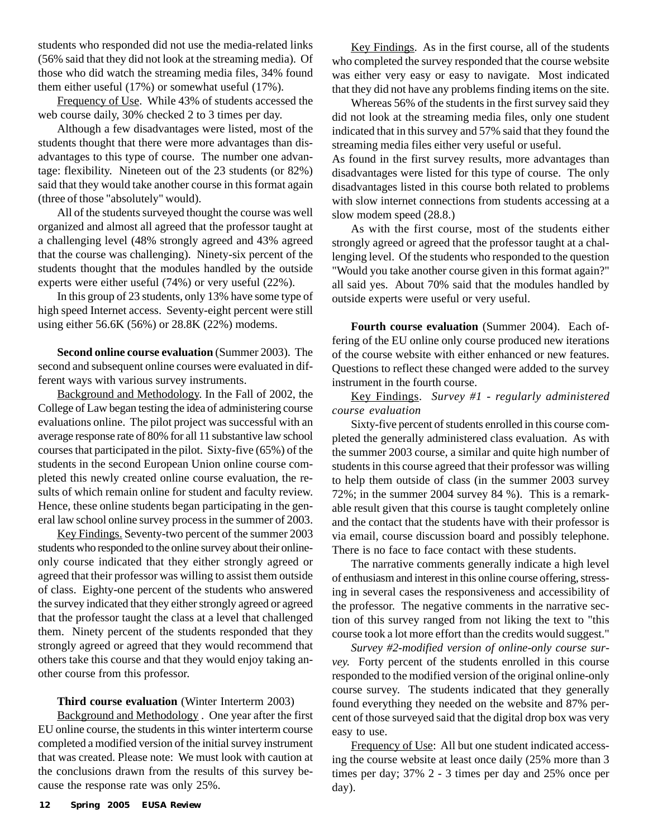students who responded did not use the media-related links (56% said that they did not look at the streaming media). Of those who did watch the streaming media files, 34% found them either useful (17%) or somewhat useful (17%).

Frequency of Use. While 43% of students accessed the web course daily, 30% checked 2 to 3 times per day.

Although a few disadvantages were listed, most of the students thought that there were more advantages than disadvantages to this type of course. The number one advantage: flexibility. Nineteen out of the 23 students (or 82%) said that they would take another course in this format again (three of those "absolutely" would).

All of the students surveyed thought the course was well organized and almost all agreed that the professor taught at a challenging level (48% strongly agreed and 43% agreed that the course was challenging). Ninety-six percent of the students thought that the modules handled by the outside experts were either useful (74%) or very useful (22%).

In this group of 23 students, only 13% have some type of high speed Internet access. Seventy-eight percent were still using either 56.6K (56%) or 28.8K (22%) modems.

**Second online course evaluation** (Summer 2003). The second and subsequent online courses were evaluated in different ways with various survey instruments.

Background and Methodology. In the Fall of 2002, the College of Law began testing the idea of administering course evaluations online. The pilot project was successful with an average response rate of 80% for all 11 substantive law school courses that participated in the pilot. Sixty-five (65%) of the students in the second European Union online course completed this newly created online course evaluation, the results of which remain online for student and faculty review. Hence, these online students began participating in the general law school online survey process in the summer of 2003.

Key Findings. Seventy-two percent of the summer 2003 students who responded to the online survey about their onlineonly course indicated that they either strongly agreed or agreed that their professor was willing to assist them outside of class. Eighty-one percent of the students who answered the survey indicated that they either strongly agreed or agreed that the professor taught the class at a level that challenged them. Ninety percent of the students responded that they strongly agreed or agreed that they would recommend that others take this course and that they would enjoy taking another course from this professor.

#### **Third course evaluation** (Winter Interterm 2003)

Background and Methodology . One year after the first EU online course, the students in this winter interterm course completed a modified version of the initial survey instrument that was created. Please note: We must look with caution at the conclusions drawn from the results of this survey because the response rate was only 25%.

Key Findings. As in the first course, all of the students who completed the survey responded that the course website was either very easy or easy to navigate. Most indicated that they did not have any problems finding items on the site.

Whereas 56% of the students in the first survey said they did not look at the streaming media files, only one student indicated that in this survey and 57% said that they found the streaming media files either very useful or useful.

As found in the first survey results, more advantages than disadvantages were listed for this type of course. The only disadvantages listed in this course both related to problems with slow internet connections from students accessing at a slow modem speed (28.8.)

As with the first course, most of the students either strongly agreed or agreed that the professor taught at a challenging level. Of the students who responded to the question "Would you take another course given in this format again?" all said yes. About 70% said that the modules handled by outside experts were useful or very useful.

**Fourth course evaluation** (Summer 2004). Each offering of the EU online only course produced new iterations of the course website with either enhanced or new features. Questions to reflect these changed were added to the survey instrument in the fourth course.

Key Findings. *Survey #1 - regularly administered course evaluation*

Sixty-five percent of students enrolled in this course completed the generally administered class evaluation. As with the summer 2003 course, a similar and quite high number of students in this course agreed that their professor was willing to help them outside of class (in the summer 2003 survey 72%; in the summer 2004 survey 84 %). This is a remarkable result given that this course is taught completely online and the contact that the students have with their professor is via email, course discussion board and possibly telephone. There is no face to face contact with these students.

The narrative comments generally indicate a high level of enthusiasm and interest in this online course offering, stressing in several cases the responsiveness and accessibility of the professor. The negative comments in the narrative section of this survey ranged from not liking the text to "this course took a lot more effort than the credits would suggest."

*Survey #2-modified version of online-only course survey.* Forty percent of the students enrolled in this course responded to the modified version of the original online-only course survey. The students indicated that they generally found everything they needed on the website and 87% percent of those surveyed said that the digital drop box was very easy to use.

Frequency of Use: All but one student indicated accessing the course website at least once daily (25% more than 3 times per day; 37% 2 - 3 times per day and 25% once per day).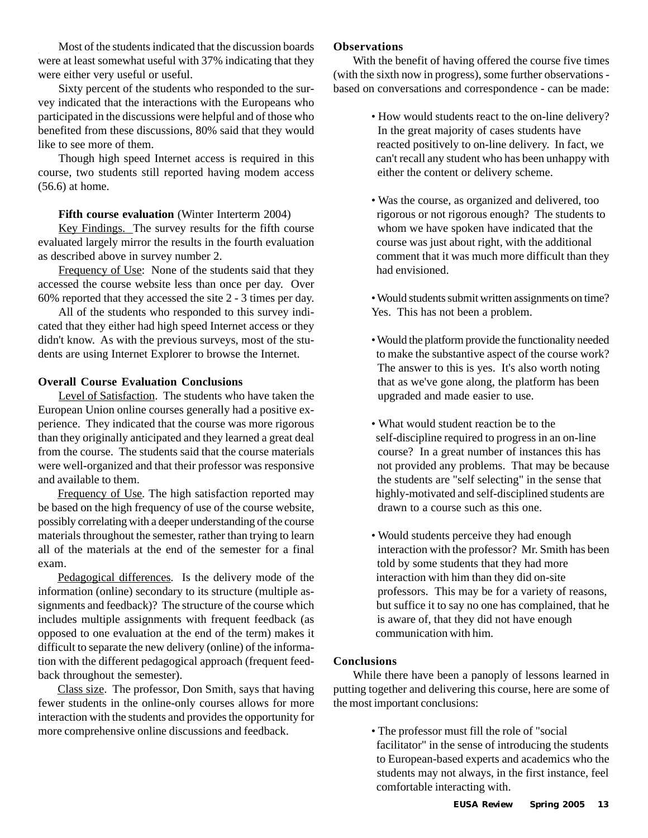Most of the students indicated that the discussion boards were at least somewhat useful with 37% indicating that they were either very useful or useful.

Sixty percent of the students who responded to the survey indicated that the interactions with the Europeans who participated in the discussions were helpful and of those who benefited from these discussions, 80% said that they would like to see more of them.

Though high speed Internet access is required in this course, two students still reported having modem access (56.6) at home.

#### **Fifth course evaluation** (Winter Interterm 2004)

Key Findings. The survey results for the fifth course evaluated largely mirror the results in the fourth evaluation as described above in survey number 2.

Frequency of Use: None of the students said that they accessed the course website less than once per day. Over 60% reported that they accessed the site 2 - 3 times per day.

All of the students who responded to this survey indicated that they either had high speed Internet access or they didn't know. As with the previous surveys, most of the students are using Internet Explorer to browse the Internet.

#### **Overall Course Evaluation Conclusions**

Level of Satisfaction. The students who have taken the European Union online courses generally had a positive experience. They indicated that the course was more rigorous than they originally anticipated and they learned a great deal from the course. The students said that the course materials were well-organized and that their professor was responsive and available to them.

Frequency of Use. The high satisfaction reported may be based on the high frequency of use of the course website, possibly correlating with a deeper understanding of the course materials throughout the semester, rather than trying to learn all of the materials at the end of the semester for a final exam.

Pedagogical differences. Is the delivery mode of the information (online) secondary to its structure (multiple assignments and feedback)? The structure of the course which includes multiple assignments with frequent feedback (as opposed to one evaluation at the end of the term) makes it difficult to separate the new delivery (online) of the information with the different pedagogical approach (frequent feedback throughout the semester).

Class size. The professor, Don Smith, says that having fewer students in the online-only courses allows for more interaction with the students and provides the opportunity for more comprehensive online discussions and feedback.

#### **Observations**

With the benefit of having offered the course five times (with the sixth now in progress), some further observations based on conversations and correspondence - can be made:

- How would students react to the on-line delivery? In the great majority of cases students have reacted positively to on-line delivery. In fact, we can't recall any student who has been unhappy with either the content or delivery scheme.
- Was the course, as organized and delivered, too rigorous or not rigorous enough? The students to whom we have spoken have indicated that the course was just about right, with the additional comment that it was much more difficult than they had envisioned.
- Would students submit written assignments on time? Yes. This has not been a problem.
- Would the platform provide the functionality needed to make the substantive aspect of the course work? The answer to this is yes. It's also worth noting that as we've gone along, the platform has been upgraded and made easier to use.
- What would student reaction be to the self-discipline required to progress in an on-line course? In a great number of instances this has not provided any problems. That may be because the students are "self selecting" in the sense that highly-motivated and self-disciplined students are drawn to a course such as this one.
- Would students perceive they had enough interaction with the professor? Mr. Smith has been told by some students that they had more interaction with him than they did on-site professors. This may be for a variety of reasons, but suffice it to say no one has complained, that he is aware of, that they did not have enough communication with him.

#### **Conclusions**

While there have been a panoply of lessons learned in putting together and delivering this course, here are some of the most important conclusions:

> • The professor must fill the role of "social facilitator" in the sense of introducing the students to European-based experts and academics who the students may not always, in the first instance, feel comfortable interacting with.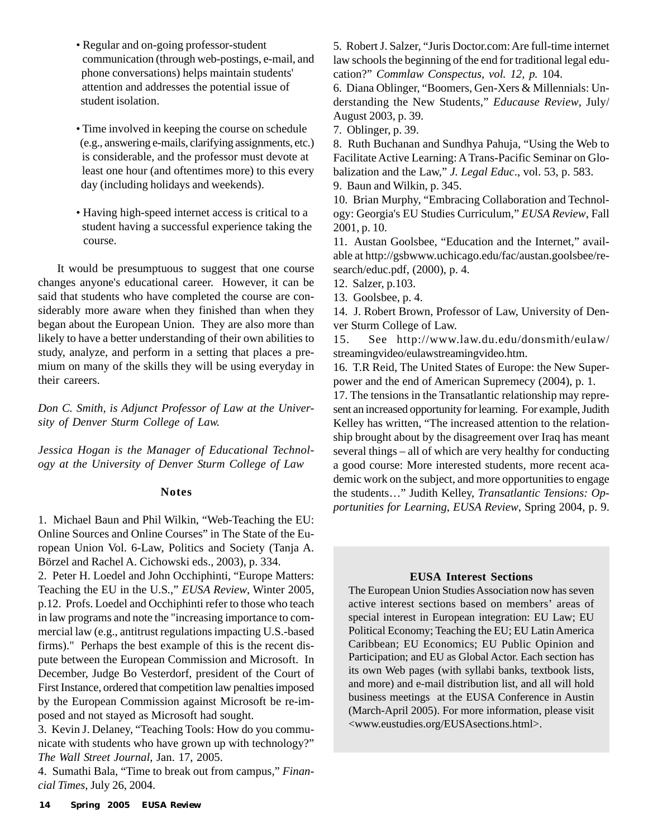- Regular and on-going professor-student communication (through web-postings, e-mail, and phone conversations) helps maintain students' attention and addresses the potential issue of student isolation.
- Time involved in keeping the course on schedule (e.g., answering e-mails, clarifying assignments, etc.) is considerable, and the professor must devote at least one hour (and oftentimes more) to this every day (including holidays and weekends).
- Having high-speed internet access is critical to a student having a successful experience taking the course.

It would be presumptuous to suggest that one course changes anyone's educational career. However, it can be said that students who have completed the course are considerably more aware when they finished than when they began about the European Union. They are also more than likely to have a better understanding of their own abilities to study, analyze, and perform in a setting that places a premium on many of the skills they will be using everyday in their careers.

*Don C. Smith, is Adjunct Professor of Law at the University of Denver Sturm College of Law.*

*Jessica Hogan is the Manager of Educational Technology at the University of Denver Sturm College of Law*

#### **Notes**

1. Michael Baun and Phil Wilkin, "Web-Teaching the EU: Online Sources and Online Courses" in The State of the European Union Vol. 6-Law, Politics and Society (Tanja A. Börzel and Rachel A. Cichowski eds., 2003), p. 334.

2. Peter H. Loedel and John Occhiphinti, "Europe Matters: Teaching the EU in the U.S*.*," *EUSA Review*, Winter 2005, p.12. Profs. Loedel and Occhiphinti refer to those who teach in law programs and note the "increasing importance to commercial law (e.g., antitrust regulations impacting U.S.-based firms)." Perhaps the best example of this is the recent dispute between the European Commission and Microsoft. In December, Judge Bo Vesterdorf, president of the Court of First Instance, ordered that competition law penalties imposed by the European Commission against Microsoft be re-imposed and not stayed as Microsoft had sought.

3. Kevin J. Delaney, "Teaching Tools: How do you communicate with students who have grown up with technology?" *The Wall Street Journal*, Jan. 17, 2005.

4. Sumathi Bala, "Time to break out from campus," *Financial Times*, July 26, 2004.

5. Robert J. Salzer, "Juris Doctor.com: Are full-time internet law schools the beginning of the end for traditional legal education?" *Commlaw Conspectus, vol. 12, p.* 104.

6. Diana Oblinger, "Boomers, Gen-Xers & Millennials: Understanding the New Students," *Educause Review*, July/ August 2003, p. 39.

7. Oblinger, p. 39.

8. Ruth Buchanan and Sundhya Pahuja, "Using the Web to Facilitate Active Learning: A Trans-Pacific Seminar on Globalization and the Law," *J. Legal Educ*., vol. 53, p. 583. 9. Baun and Wilkin, p. 345.

10. Brian Murphy, "Embracing Collaboration and Technology: Georgia's EU Studies Curriculum," *EUSA Review*, Fall 2001, p. 10.

11. Austan Goolsbee, "Education and the Internet," available at http://gsbwww.uchicago.edu/fac/austan.goolsbee/research/educ.pdf, (2000), p. 4.

12. Salzer, p.103.

13. Goolsbee, p. 4.

14. J. Robert Brown, Professor of Law, University of Denver Sturm College of Law.

15. See http://www.law.du.edu/donsmith/eulaw/ streamingvideo/eulawstreamingvideo.htm.

16. T.R Reid, The United States of Europe: the New Superpower and the end of American Supremecy (2004), p. 1.

17. The tensions in the Transatlantic relationship may represent an increased opportunity for learning. For example, Judith Kelley has written, "The increased attention to the relationship brought about by the disagreement over Iraq has meant several things – all of which are very healthy for conducting a good course: More interested students, more recent academic work on the subject, and more opportunities to engage the students…" Judith Kelley, *Transatlantic Tensions: Opportunities for Learning*, *EUSA Review*, Spring 2004, p. 9.

#### **EUSA Interest Sections**

The European Union Studies Association now has seven active interest sections based on members' areas of special interest in European integration: EU Law; EU Political Economy; Teaching the EU; EU Latin America Caribbean; EU Economics; EU Public Opinion and Participation; and EU as Global Actor. Each section has its own Web pages (with syllabi banks, textbook lists, and more) and e-mail distribution list, and all will hold business meetings at the EUSA Conference in Austin (March-April 2005). For more information, please visit <www.eustudies.org/EUSAsections.html>.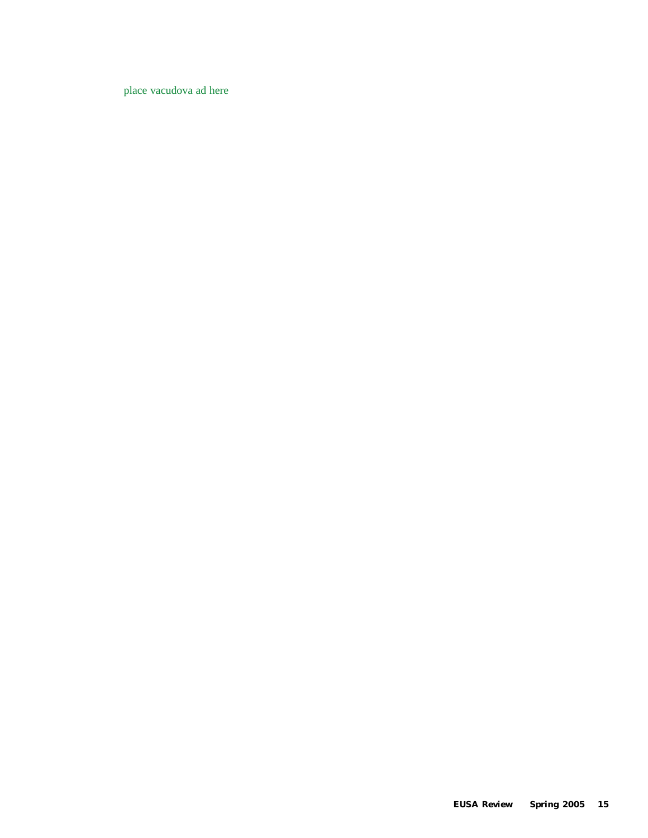place vacudova ad here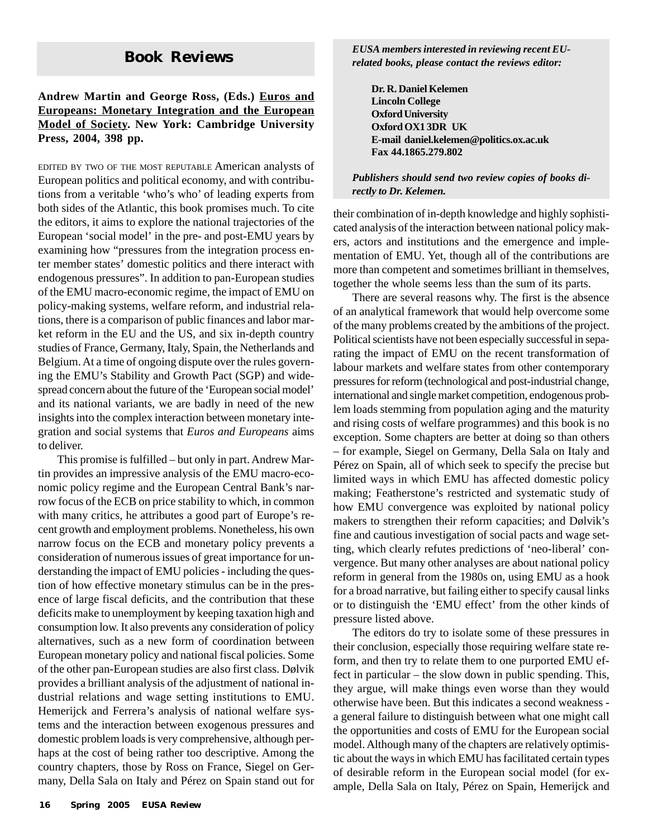# **Book Reviews**

#### **Andrew Martin and George Ross, (Eds.) Euros and Europeans: Monetary Integration and the European Model of Society. New York: Cambridge University Press, 2004, 398 pp.**

EDITED BY TWO OF THE MOST REPUTABLE American analysts of European politics and political economy, and with contributions from a veritable 'who's who' of leading experts from both sides of the Atlantic, this book promises much. To cite the editors, it aims to explore the national trajectories of the European 'social model' in the pre- and post-EMU years by examining how "pressures from the integration process enter member states' domestic politics and there interact with endogenous pressures". In addition to pan-European studies of the EMU macro-economic regime, the impact of EMU on policy-making systems, welfare reform, and industrial relations, there is a comparison of public finances and labor market reform in the EU and the US, and six in-depth country studies of France, Germany, Italy, Spain, the Netherlands and Belgium. At a time of ongoing dispute over the rules governing the EMU's Stability and Growth Pact (SGP) and widespread concern about the future of the 'European social model' and its national variants, we are badly in need of the new insights into the complex interaction between monetary integration and social systems that *Euros and Europeans* aims to deliver.

This promise is fulfilled – but only in part. Andrew Martin provides an impressive analysis of the EMU macro-economic policy regime and the European Central Bank's narrow focus of the ECB on price stability to which, in common with many critics, he attributes a good part of Europe's recent growth and employment problems. Nonetheless, his own narrow focus on the ECB and monetary policy prevents a consideration of numerous issues of great importance for understanding the impact of EMU policies - including the question of how effective monetary stimulus can be in the presence of large fiscal deficits, and the contribution that these deficits make to unemployment by keeping taxation high and consumption low. It also prevents any consideration of policy alternatives, such as a new form of coordination between European monetary policy and national fiscal policies. Some of the other pan-European studies are also first class. Dølvik provides a brilliant analysis of the adjustment of national industrial relations and wage setting institutions to EMU. Hemerijck and Ferrera's analysis of national welfare systems and the interaction between exogenous pressures and domestic problem loads is very comprehensive, although perhaps at the cost of being rather too descriptive. Among the country chapters, those by Ross on France, Siegel on Germany, Della Sala on Italy and Pérez on Spain stand out for *EUSA members interested in reviewing recent EUrelated books, please contact the reviews editor:*

**Dr. R. Daniel Kelemen Lincoln College Oxford University Oxford OX1 3DR UK E-mail daniel.kelemen@politics.ox.ac.uk Fax 44.1865.279.802**

*Publishers should send two review copies of books directly to Dr. Kelemen.*

their combination of in-depth knowledge and highly sophisticated analysis of the interaction between national policy makers, actors and institutions and the emergence and implementation of EMU. Yet, though all of the contributions are more than competent and sometimes brilliant in themselves, together the whole seems less than the sum of its parts.

There are several reasons why. The first is the absence of an analytical framework that would help overcome some of the many problems created by the ambitions of the project. Political scientists have not been especially successful in separating the impact of EMU on the recent transformation of labour markets and welfare states from other contemporary pressures for reform (technological and post-industrial change, international and single market competition, endogenous problem loads stemming from population aging and the maturity and rising costs of welfare programmes) and this book is no exception. Some chapters are better at doing so than others – for example, Siegel on Germany, Della Sala on Italy and Pérez on Spain, all of which seek to specify the precise but limited ways in which EMU has affected domestic policy making; Featherstone's restricted and systematic study of how EMU convergence was exploited by national policy makers to strengthen their reform capacities; and Dølvik's fine and cautious investigation of social pacts and wage setting, which clearly refutes predictions of 'neo-liberal' convergence. But many other analyses are about national policy reform in general from the 1980s on, using EMU as a hook for a broad narrative, but failing either to specify causal links or to distinguish the 'EMU effect' from the other kinds of pressure listed above.

The editors do try to isolate some of these pressures in their conclusion, especially those requiring welfare state reform, and then try to relate them to one purported EMU effect in particular – the slow down in public spending. This, they argue, will make things even worse than they would otherwise have been. But this indicates a second weakness a general failure to distinguish between what one might call the opportunities and costs of EMU for the European social model. Although many of the chapters are relatively optimistic about the ways in which EMU has facilitated certain types of desirable reform in the European social model (for example, Della Sala on Italy, Pérez on Spain, Hemerijck and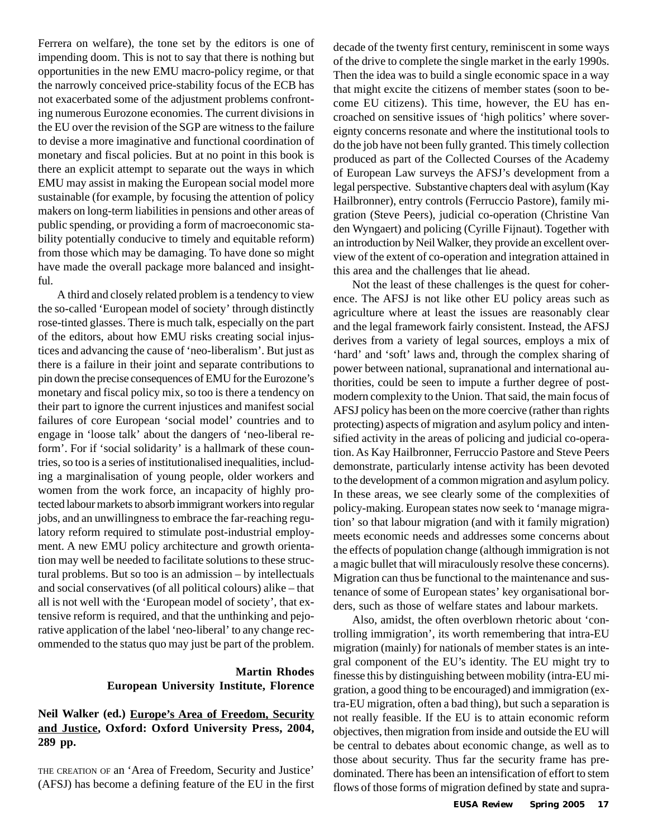Ferrera on welfare), the tone set by the editors is one of impending doom. This is not to say that there is nothing but opportunities in the new EMU macro-policy regime, or that the narrowly conceived price-stability focus of the ECB has not exacerbated some of the adjustment problems confronting numerous Eurozone economies. The current divisions in the EU over the revision of the SGP are witness to the failure to devise a more imaginative and functional coordination of monetary and fiscal policies. But at no point in this book is there an explicit attempt to separate out the ways in which EMU may assist in making the European social model more sustainable (for example, by focusing the attention of policy makers on long-term liabilities in pensions and other areas of public spending, or providing a form of macroeconomic stability potentially conducive to timely and equitable reform) from those which may be damaging. To have done so might have made the overall package more balanced and insightful.

A third and closely related problem is a tendency to view the so-called 'European model of society' through distinctly rose-tinted glasses. There is much talk, especially on the part of the editors, about how EMU risks creating social injustices and advancing the cause of 'neo-liberalism'. But just as there is a failure in their joint and separate contributions to pin down the precise consequences of EMU for the Eurozone's monetary and fiscal policy mix, so too is there a tendency on their part to ignore the current injustices and manifest social failures of core European 'social model' countries and to engage in 'loose talk' about the dangers of 'neo-liberal reform'. For if 'social solidarity' is a hallmark of these countries, so too is a series of institutionalised inequalities, including a marginalisation of young people, older workers and women from the work force, an incapacity of highly protected labour markets to absorb immigrant workers into regular jobs, and an unwillingness to embrace the far-reaching regulatory reform required to stimulate post-industrial employment. A new EMU policy architecture and growth orientation may well be needed to facilitate solutions to these structural problems. But so too is an admission – by intellectuals and social conservatives (of all political colours) alike – that all is not well with the 'European model of society', that extensive reform is required, and that the unthinking and pejorative application of the label 'neo-liberal' to any change recommended to the status quo may just be part of the problem.

#### **Martin Rhodes European University Institute, Florence**

#### **Neil Walker (ed.) Europe's Area of Freedom, Security and Justice, Oxford: Oxford University Press, 2004, 289 pp.**

THE CREATION OF an 'Area of Freedom, Security and Justice' (AFSJ) has become a defining feature of the EU in the first decade of the twenty first century, reminiscent in some ways of the drive to complete the single market in the early 1990s. Then the idea was to build a single economic space in a way that might excite the citizens of member states (soon to become EU citizens). This time, however, the EU has encroached on sensitive issues of 'high politics' where sovereignty concerns resonate and where the institutional tools to do the job have not been fully granted. This timely collection produced as part of the Collected Courses of the Academy of European Law surveys the AFSJ's development from a legal perspective. Substantive chapters deal with asylum (Kay Hailbronner), entry controls (Ferruccio Pastore), family migration (Steve Peers), judicial co-operation (Christine Van den Wyngaert) and policing (Cyrille Fijnaut). Together with an introduction by Neil Walker, they provide an excellent overview of the extent of co-operation and integration attained in this area and the challenges that lie ahead.

Not the least of these challenges is the quest for coherence. The AFSJ is not like other EU policy areas such as agriculture where at least the issues are reasonably clear and the legal framework fairly consistent. Instead, the AFSJ derives from a variety of legal sources, employs a mix of 'hard' and 'soft' laws and, through the complex sharing of power between national, supranational and international authorities, could be seen to impute a further degree of postmodern complexity to the Union. That said, the main focus of AFSJ policy has been on the more coercive (rather than rights protecting) aspects of migration and asylum policy and intensified activity in the areas of policing and judicial co-operation. As Kay Hailbronner, Ferruccio Pastore and Steve Peers demonstrate, particularly intense activity has been devoted to the development of a common migration and asylum policy. In these areas, we see clearly some of the complexities of policy-making. European states now seek to 'manage migration' so that labour migration (and with it family migration) meets economic needs and addresses some concerns about the effects of population change (although immigration is not a magic bullet that will miraculously resolve these concerns). Migration can thus be functional to the maintenance and sustenance of some of European states' key organisational borders, such as those of welfare states and labour markets.

Also, amidst, the often overblown rhetoric about 'controlling immigration', its worth remembering that intra-EU migration (mainly) for nationals of member states is an integral component of the EU's identity. The EU might try to finesse this by distinguishing between mobility (intra-EU migration, a good thing to be encouraged) and immigration (extra-EU migration, often a bad thing), but such a separation is not really feasible. If the EU is to attain economic reform objectives, then migration from inside and outside the EU will be central to debates about economic change, as well as to those about security. Thus far the security frame has predominated. There has been an intensification of effort to stem flows of those forms of migration defined by state and supra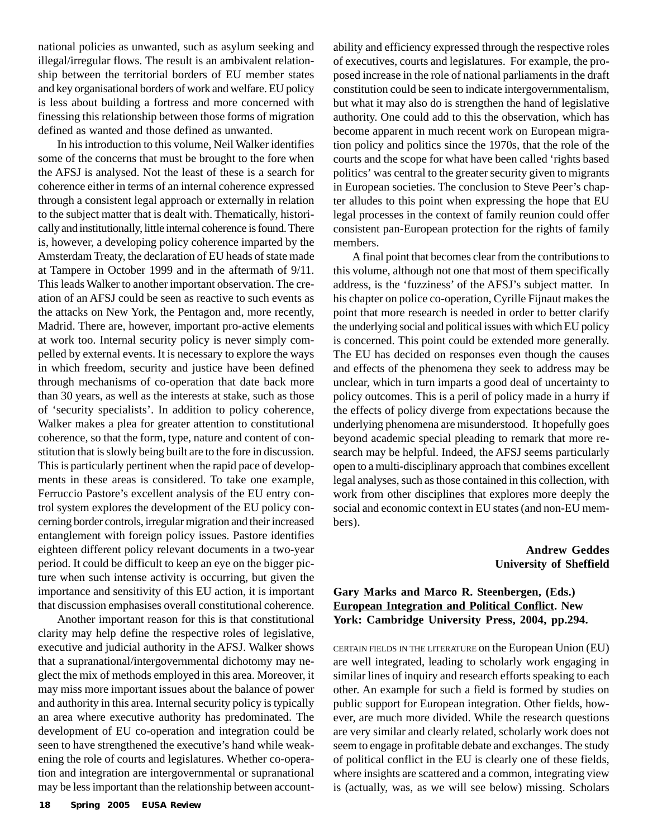national policies as unwanted, such as asylum seeking and illegal/irregular flows. The result is an ambivalent relationship between the territorial borders of EU member states and key organisational borders of work and welfare. EU policy is less about building a fortress and more concerned with finessing this relationship between those forms of migration defined as wanted and those defined as unwanted.

In his introduction to this volume, Neil Walker identifies some of the concerns that must be brought to the fore when the AFSJ is analysed. Not the least of these is a search for coherence either in terms of an internal coherence expressed through a consistent legal approach or externally in relation to the subject matter that is dealt with. Thematically, historically and institutionally, little internal coherence is found. There is, however, a developing policy coherence imparted by the Amsterdam Treaty, the declaration of EU heads of state made at Tampere in October 1999 and in the aftermath of 9/11. This leads Walker to another important observation. The creation of an AFSJ could be seen as reactive to such events as the attacks on New York, the Pentagon and, more recently, Madrid. There are, however, important pro-active elements at work too. Internal security policy is never simply compelled by external events. It is necessary to explore the ways in which freedom, security and justice have been defined through mechanisms of co-operation that date back more than 30 years, as well as the interests at stake, such as those of 'security specialists'. In addition to policy coherence, Walker makes a plea for greater attention to constitutional coherence, so that the form, type, nature and content of constitution that is slowly being built are to the fore in discussion. This is particularly pertinent when the rapid pace of developments in these areas is considered. To take one example, Ferruccio Pastore's excellent analysis of the EU entry control system explores the development of the EU policy concerning border controls, irregular migration and their increased entanglement with foreign policy issues. Pastore identifies eighteen different policy relevant documents in a two-year period. It could be difficult to keep an eye on the bigger picture when such intense activity is occurring, but given the importance and sensitivity of this EU action, it is important that discussion emphasises overall constitutional coherence.

Another important reason for this is that constitutional clarity may help define the respective roles of legislative, executive and judicial authority in the AFSJ. Walker shows that a supranational/intergovernmental dichotomy may neglect the mix of methods employed in this area. Moreover, it may miss more important issues about the balance of power and authority in this area. Internal security policy is typically an area where executive authority has predominated. The development of EU co-operation and integration could be seen to have strengthened the executive's hand while weakening the role of courts and legislatures. Whether co-operation and integration are intergovernmental or supranational may be less important than the relationship between accountability and efficiency expressed through the respective roles of executives, courts and legislatures. For example, the proposed increase in the role of national parliaments in the draft constitution could be seen to indicate intergovernmentalism, but what it may also do is strengthen the hand of legislative authority. One could add to this the observation, which has become apparent in much recent work on European migration policy and politics since the 1970s, that the role of the courts and the scope for what have been called 'rights based politics' was central to the greater security given to migrants in European societies. The conclusion to Steve Peer's chapter alludes to this point when expressing the hope that EU legal processes in the context of family reunion could offer consistent pan-European protection for the rights of family members.

A final point that becomes clear from the contributions to this volume, although not one that most of them specifically address, is the 'fuzziness' of the AFSJ's subject matter. In his chapter on police co-operation, Cyrille Fijnaut makes the point that more research is needed in order to better clarify the underlying social and political issues with which EU policy is concerned. This point could be extended more generally. The EU has decided on responses even though the causes and effects of the phenomena they seek to address may be unclear, which in turn imparts a good deal of uncertainty to policy outcomes. This is a peril of policy made in a hurry if the effects of policy diverge from expectations because the underlying phenomena are misunderstood. It hopefully goes beyond academic special pleading to remark that more research may be helpful. Indeed, the AFSJ seems particularly open to a multi-disciplinary approach that combines excellent legal analyses, such as those contained in this collection, with work from other disciplines that explores more deeply the social and economic context in EU states (and non-EU members).

#### **Andrew Geddes University of Sheffield**

#### **Gary Marks and Marco R. Steenbergen, (Eds.) European Integration and Political Conflict. New York: Cambridge University Press, 2004, pp.294.**

CERTAIN FIELDS IN THE LITERATURE on the European Union (EU) are well integrated, leading to scholarly work engaging in similar lines of inquiry and research efforts speaking to each other. An example for such a field is formed by studies on public support for European integration. Other fields, however, are much more divided. While the research questions are very similar and clearly related, scholarly work does not seem to engage in profitable debate and exchanges. The study of political conflict in the EU is clearly one of these fields, where insights are scattered and a common, integrating view is (actually, was, as we will see below) missing. Scholars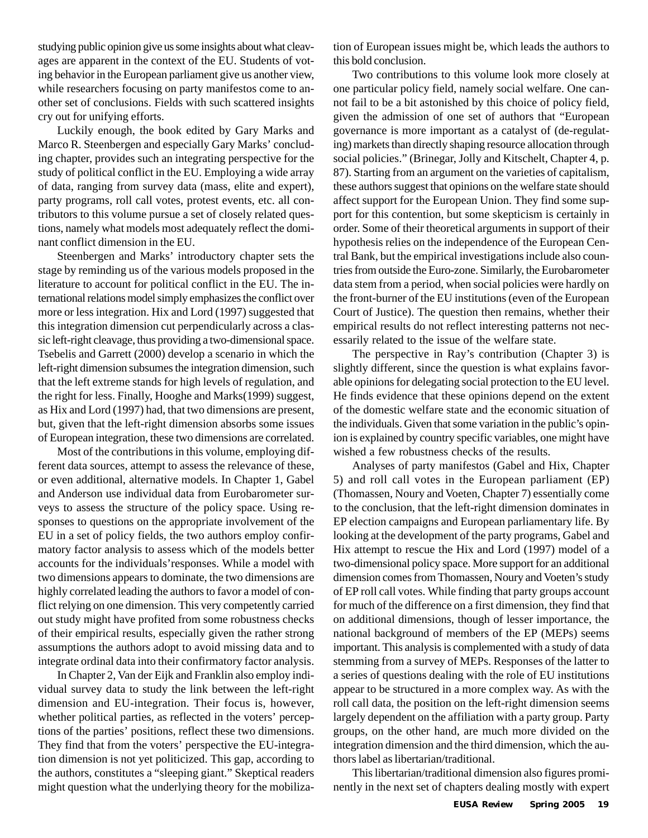studying public opinion give us some insights about what cleavages are apparent in the context of the EU. Students of voting behavior in the European parliament give us another view, while researchers focusing on party manifestos come to another set of conclusions. Fields with such scattered insights cry out for unifying efforts.

Luckily enough, the book edited by Gary Marks and Marco R. Steenbergen and especially Gary Marks' concluding chapter, provides such an integrating perspective for the study of political conflict in the EU. Employing a wide array of data, ranging from survey data (mass, elite and expert), party programs, roll call votes, protest events, etc. all contributors to this volume pursue a set of closely related questions, namely what models most adequately reflect the dominant conflict dimension in the EU.

Steenbergen and Marks' introductory chapter sets the stage by reminding us of the various models proposed in the literature to account for political conflict in the EU. The international relations model simply emphasizes the conflict over more or less integration. Hix and Lord (1997) suggested that this integration dimension cut perpendicularly across a classic left-right cleavage, thus providing a two-dimensional space. Tsebelis and Garrett (2000) develop a scenario in which the left-right dimension subsumes the integration dimension, such that the left extreme stands for high levels of regulation, and the right for less. Finally, Hooghe and Marks(1999) suggest, as Hix and Lord (1997) had, that two dimensions are present, but, given that the left-right dimension absorbs some issues of European integration, these two dimensions are correlated.

Most of the contributions in this volume, employing different data sources, attempt to assess the relevance of these, or even additional, alternative models. In Chapter 1, Gabel and Anderson use individual data from Eurobarometer surveys to assess the structure of the policy space. Using responses to questions on the appropriate involvement of the EU in a set of policy fields, the two authors employ confirmatory factor analysis to assess which of the models better accounts for the individuals'responses. While a model with two dimensions appears to dominate, the two dimensions are highly correlated leading the authors to favor a model of conflict relying on one dimension. This very competently carried out study might have profited from some robustness checks of their empirical results, especially given the rather strong assumptions the authors adopt to avoid missing data and to integrate ordinal data into their confirmatory factor analysis.

In Chapter 2, Van der Eijk and Franklin also employ individual survey data to study the link between the left-right dimension and EU-integration. Their focus is, however, whether political parties, as reflected in the voters' perceptions of the parties' positions, reflect these two dimensions. They find that from the voters' perspective the EU-integration dimension is not yet politicized. This gap, according to the authors, constitutes a "sleeping giant." Skeptical readers might question what the underlying theory for the mobilization of European issues might be, which leads the authors to this bold conclusion.

Two contributions to this volume look more closely at one particular policy field, namely social welfare. One cannot fail to be a bit astonished by this choice of policy field, given the admission of one set of authors that "European governance is more important as a catalyst of (de-regulating) markets than directly shaping resource allocation through social policies." (Brinegar, Jolly and Kitschelt, Chapter 4, p. 87). Starting from an argument on the varieties of capitalism, these authors suggest that opinions on the welfare state should affect support for the European Union. They find some support for this contention, but some skepticism is certainly in order. Some of their theoretical arguments in support of their hypothesis relies on the independence of the European Central Bank, but the empirical investigations include also countries from outside the Euro-zone. Similarly, the Eurobarometer data stem from a period, when social policies were hardly on the front-burner of the EU institutions (even of the European Court of Justice). The question then remains, whether their empirical results do not reflect interesting patterns not necessarily related to the issue of the welfare state.

The perspective in Ray's contribution (Chapter 3) is slightly different, since the question is what explains favorable opinions for delegating social protection to the EU level. He finds evidence that these opinions depend on the extent of the domestic welfare state and the economic situation of the individuals. Given that some variation in the public's opinion is explained by country specific variables, one might have wished a few robustness checks of the results.

Analyses of party manifestos (Gabel and Hix, Chapter 5) and roll call votes in the European parliament (EP) (Thomassen, Noury and Voeten, Chapter 7) essentially come to the conclusion, that the left-right dimension dominates in EP election campaigns and European parliamentary life. By looking at the development of the party programs, Gabel and Hix attempt to rescue the Hix and Lord (1997) model of a two-dimensional policy space. More support for an additional dimension comes from Thomassen, Noury and Voeten's study of EP roll call votes. While finding that party groups account for much of the difference on a first dimension, they find that on additional dimensions, though of lesser importance, the national background of members of the EP (MEPs) seems important. This analysis is complemented with a study of data stemming from a survey of MEPs. Responses of the latter to a series of questions dealing with the role of EU institutions appear to be structured in a more complex way. As with the roll call data, the position on the left-right dimension seems largely dependent on the affiliation with a party group. Party groups, on the other hand, are much more divided on the integration dimension and the third dimension, which the authors label as libertarian/traditional.

This libertarian/traditional dimension also figures prominently in the next set of chapters dealing mostly with expert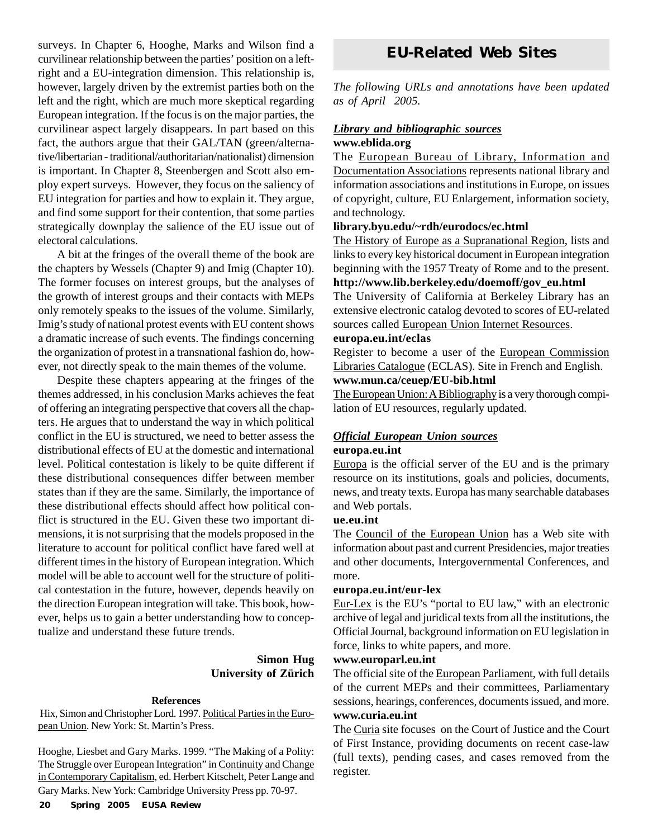surveys. In Chapter 6, Hooghe, Marks and Wilson find a curvilinear relationship between the parties' position on a leftright and a EU-integration dimension. This relationship is, however, largely driven by the extremist parties both on the left and the right, which are much more skeptical regarding European integration. If the focus is on the major parties, the curvilinear aspect largely disappears. In part based on this fact, the authors argue that their GAL/TAN (green/alternative/libertarian - traditional/authoritarian/nationalist) dimension is important. In Chapter 8, Steenbergen and Scott also employ expert surveys. However, they focus on the saliency of EU integration for parties and how to explain it. They argue, and find some support for their contention, that some parties strategically downplay the salience of the EU issue out of electoral calculations.

A bit at the fringes of the overall theme of the book are the chapters by Wessels (Chapter 9) and Imig (Chapter 10). The former focuses on interest groups, but the analyses of the growth of interest groups and their contacts with MEPs only remotely speaks to the issues of the volume. Similarly, Imig's study of national protest events with EU content shows a dramatic increase of such events. The findings concerning the organization of protest in a transnational fashion do, however, not directly speak to the main themes of the volume.

Despite these chapters appearing at the fringes of the themes addressed, in his conclusion Marks achieves the feat of offering an integrating perspective that covers all the chapters. He argues that to understand the way in which political conflict in the EU is structured, we need to better assess the distributional effects of EU at the domestic and international level. Political contestation is likely to be quite different if these distributional consequences differ between member states than if they are the same. Similarly, the importance of these distributional effects should affect how political conflict is structured in the EU. Given these two important dimensions, it is not surprising that the models proposed in the literature to account for political conflict have fared well at different times in the history of European integration. Which model will be able to account well for the structure of political contestation in the future, however, depends heavily on the direction European integration will take. This book, however, helps us to gain a better understanding how to conceptualize and understand these future trends.

#### **Simon Hug University of Zürich**

#### **References**

Hix, Simon and Christopher Lord. 1997. Political Parties in the European Union. New York: St. Martin's Press.

Hooghe, Liesbet and Gary Marks. 1999. "The Making of a Polity: The Struggle over European Integration" in Continuity and Change in Contemporary Capitalism, ed. Herbert Kitschelt, Peter Lange and Gary Marks. New York: Cambridge University Press pp. 70-97.

# **EU-Related Web Sites**

*The following URLs and annotations have been updated as of April 2005.*

#### *Library and bibliographic sources* **www.eblida.org**

The European Bureau of Library, Information and Documentation Associations represents national library and information associations and institutions in Europe, on issues of copyright, culture, EU Enlargement, information society, and technology.

#### **library.byu.edu/~rdh/eurodocs/ec.html**

The History of Europe as a Supranational Region, lists and links to every key historical document in European integration beginning with the 1957 Treaty of Rome and to the present. **http://www.lib.berkeley.edu/doemoff/gov\_eu.html** The University of California at Berkeley Library has an

extensive electronic catalog devoted to scores of EU-related sources called European Union Internet Resources.

#### **europa.eu.int/eclas**

Register to become a user of the European Commission Libraries Catalogue (ECLAS). Site in French and English. **www.mun.ca/ceuep/EU-bib.html**

The European Union: A Bibliography is a very thorough compilation of EU resources, regularly updated.

#### *Official European Union sources* **europa.eu.int**

Europa is the official server of the EU and is the primary resource on its institutions, goals and policies, documents, news, and treaty texts. Europa has many searchable databases and Web portals.

#### **ue.eu.int**

The Council of the European Union has a Web site with information about past and current Presidencies, major treaties and other documents, Intergovernmental Conferences, and more.

#### **europa.eu.int/eur-lex**

Eur-Lex is the EU's "portal to EU law," with an electronic archive of legal and juridical texts from all the institutions, the Official Journal, background information on EU legislation in force, links to white papers, and more.

#### **www.europarl.eu.int**

The official site of the European Parliament, with full details of the current MEPs and their committees, Parliamentary sessions, hearings, conferences, documents issued, and more. **www.curia.eu.int**

The Curia site focuses on the Court of Justice and the Court of First Instance, providing documents on recent case-law (full texts), pending cases, and cases removed from the register.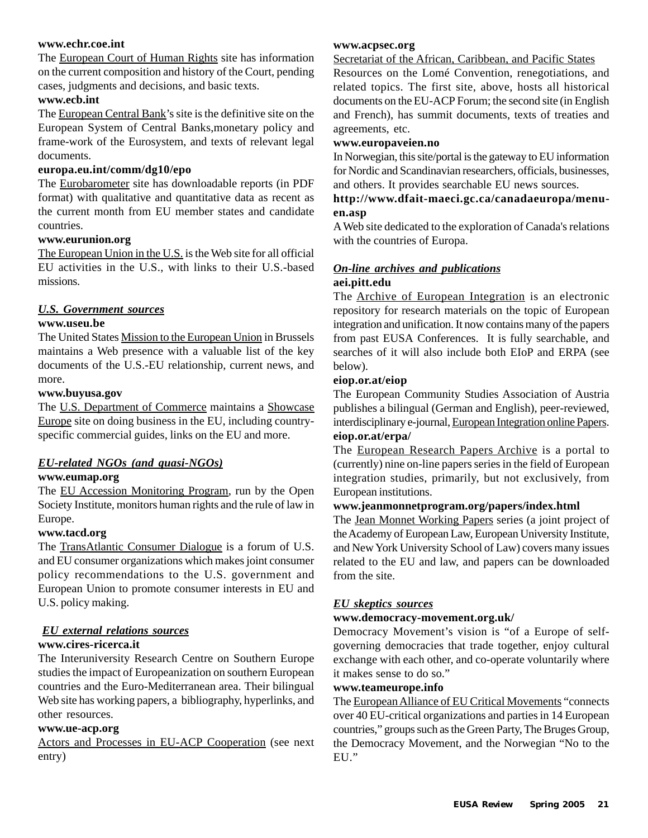#### **www.echr.coe.int**

The European Court of Human Rights site has information on the current composition and history of the Court, pending cases, judgments and decisions, and basic texts.

#### **www.ecb.int**

The European Central Bank's site is the definitive site on the European System of Central Banks,monetary policy and frame-work of the Eurosystem, and texts of relevant legal documents.

#### **europa.eu.int/comm/dg10/epo**

The Eurobarometer site has downloadable reports (in PDF format) with qualitative and quantitative data as recent as the current month from EU member states and candidate countries.

#### **www.eurunion.org**

The European Union in the U.S. is the Web site for all official EU activities in the U.S., with links to their U.S.-based missions.

#### *U.S. Government sources*

#### **www.useu.be**

The United States Mission to the European Union in Brussels maintains a Web presence with a valuable list of the key documents of the U.S.-EU relationship, current news, and more.

#### **www.buyusa.gov**

The U.S. Department of Commerce maintains a Showcase Europe site on doing business in the EU, including countryspecific commercial guides, links on the EU and more.

#### *EU-related NGOs (and quasi-NGOs)*

#### **www.eumap.org**

The EU Accession Monitoring Program, run by the Open Society Institute, monitors human rights and the rule of law in Europe.

#### **www.tacd.org**

The TransAtlantic Consumer Dialogue is a forum of U.S. and EU consumer organizations which makes joint consumer policy recommendations to the U.S. government and European Union to promote consumer interests in EU and U.S. policy making.

# *EU external relations sources*

#### **www.cires-ricerca.it**

The Interuniversity Research Centre on Southern Europe studies the impact of Europeanization on southern European countries and the Euro-Mediterranean area. Their bilingual Web site has working papers, a bibliography, hyperlinks, and other resources.

#### **www.ue-acp.org**

Actors and Processes in EU-ACP Cooperation (see next entry)

#### **www.acpsec.org**

#### Secretariat of the African, Caribbean, and Pacific States

Resources on the Lomé Convention, renegotiations, and related topics. The first site, above, hosts all historical documents on the EU-ACP Forum; the second site (in English and French), has summit documents, texts of treaties and agreements, etc.

#### **www.europaveien.no**

In Norwegian, this site/portal is the gateway to EU information for Nordic and Scandinavian researchers, officials, businesses, and others. It provides searchable EU news sources.

#### **http://www.dfait-maeci.gc.ca/canadaeuropa/menuen.asp**

A Web site dedicated to the exploration of Canada's relations with the countries of Europa.

#### *On-line archives and publications* **aei.pitt.edu**

The Archive of European Integration is an electronic repository for research materials on the topic of European integration and unification. It now contains many of the papers from past EUSA Conferences. It is fully searchable, and searches of it will also include both EIoP and ERPA (see below).

#### **eiop.or.at/eiop**

The European Community Studies Association of Austria publishes a bilingual (German and English), peer-reviewed, interdisciplinary e-journal, European Integration online Papers. **eiop.or.at/erpa/**

The European Research Papers Archive is a portal to (currently) nine on-line papers series in the field of European integration studies, primarily, but not exclusively, from European institutions.

#### **www.jeanmonnetprogram.org/papers/index.html**

The Jean Monnet Working Papers series (a joint project of the Academy of European Law, European University Institute, and New York University School of Law) covers many issues related to the EU and law, and papers can be downloaded from the site.

#### *EU skeptics sources*

#### **www.democracy-movement.org.uk/**

Democracy Movement's vision is "of a Europe of selfgoverning democracies that trade together, enjoy cultural exchange with each other, and co-operate voluntarily where it makes sense to do so."

#### **www.teameurope.info**

The European Alliance of EU Critical Movements "connects over 40 EU-critical organizations and parties in 14 European countries," groups such as the Green Party, The Bruges Group, the Democracy Movement, and the Norwegian "No to the EU."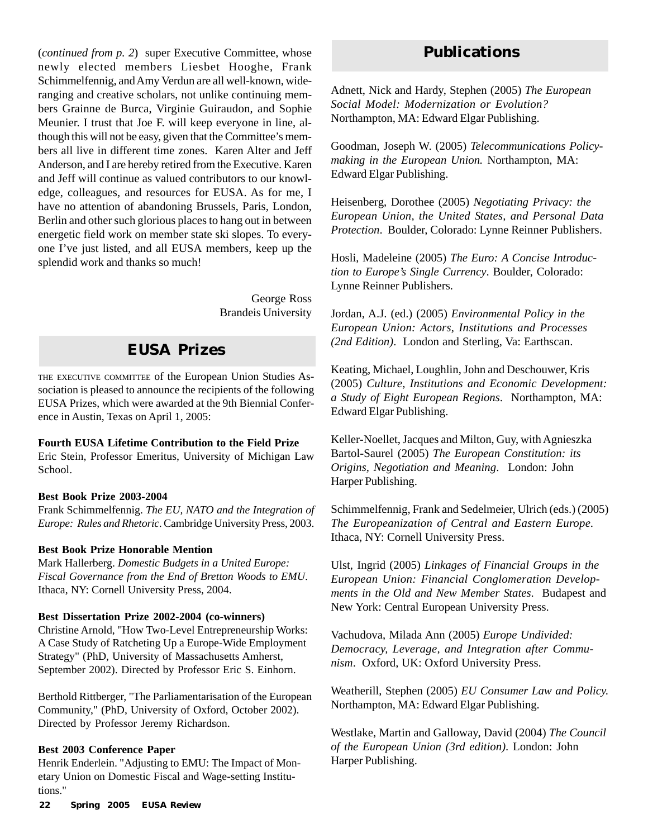(*continued from p. 2*) super Executive Committee, whose newly elected members Liesbet Hooghe, Frank Schimmelfennig, and Amy Verdun are all well-known, wideranging and creative scholars, not unlike continuing members Grainne de Burca, Virginie Guiraudon, and Sophie Meunier. I trust that Joe F. will keep everyone in line, although this will not be easy, given that the Committee's members all live in different time zones. Karen Alter and Jeff Anderson, and I are hereby retired from the Executive. Karen and Jeff will continue as valued contributors to our knowledge, colleagues, and resources for EUSA. As for me, I have no attention of abandoning Brussels, Paris, London, Berlin and other such glorious places to hang out in between energetic field work on member state ski slopes. To everyone I've just listed, and all EUSA members, keep up the splendid work and thanks so much!

> George Ross Brandeis University

# **EUSA Prizes**

THE EXECUTIVE COMMITTEE of the European Union Studies Association is pleased to announce the recipients of the following EUSA Prizes, which were awarded at the 9th Biennial Conference in Austin, Texas on April 1, 2005:

#### **Fourth EUSA Lifetime Contribution to the Field Prize**

Eric Stein, Professor Emeritus, University of Michigan Law School.

#### **Best Book Prize 2003-2004**

Frank Schimmelfennig. *The EU, NATO and the Integration of Europe: Rules and Rhetoric*. Cambridge University Press, 2003.

#### **Best Book Prize Honorable Mention**

Mark Hallerberg. *Domestic Budgets in a United Europe: Fiscal Governance from the End of Bretton Woods to EMU*. Ithaca, NY: Cornell University Press, 2004.

#### **Best Dissertation Prize 2002-2004 (co-winners)**

Christine Arnold, "How Two-Level Entrepreneurship Works: A Case Study of Ratcheting Up a Europe-Wide Employment Strategy" (PhD, University of Massachusetts Amherst, September 2002). Directed by Professor Eric S. Einhorn.

Berthold Rittberger, "The Parliamentarisation of the European Community," (PhD, University of Oxford, October 2002). Directed by Professor Jeremy Richardson.

#### **Best 2003 Conference Paper**

Henrik Enderlein. "Adjusting to EMU: The Impact of Monetary Union on Domestic Fiscal and Wage-setting Institutions."

# **Publications**

Adnett, Nick and Hardy, Stephen (2005) *The European Social Model: Modernization or Evolution?* Northampton, MA: Edward Elgar Publishing.

Goodman, Joseph W. (2005) *Telecommunications Policymaking in the European Union.* Northampton, MA: Edward Elgar Publishing.

Heisenberg, Dorothee (2005) *Negotiating Privacy: the European Union, the United States, and Personal Data Protection*. Boulder, Colorado: Lynne Reinner Publishers.

Hosli, Madeleine (2005) *The Euro: A Concise Introduction to Europe's Single Currency*. Boulder, Colorado: Lynne Reinner Publishers.

Jordan, A.J. (ed.) (2005) *Environmental Policy in the European Union: Actors, Institutions and Processes (2nd Edition)*. London and Sterling, Va: Earthscan.

Keating, Michael, Loughlin, John and Deschouwer, Kris (2005) *Culture, Institutions and Economic Development: a Study of Eight European Regions*. Northampton, MA: Edward Elgar Publishing.

Keller-Noellet, Jacques and Milton, Guy, with Agnieszka Bartol-Saurel (2005) *The European Constitution: its Origins, Negotiation and Meaning*. London: John Harper Publishing.

Schimmelfennig, Frank and Sedelmeier, Ulrich (eds.) (2005) *The Europeanization of Central and Eastern Europe.* Ithaca, NY: Cornell University Press.

Ulst, Ingrid (2005) *Linkages of Financial Groups in the European Union: Financial Conglomeration Developments in the Old and New Member States*. Budapest and New York: Central European University Press.

Vachudova, Milada Ann (2005) *Europe Undivided: Democracy, Leverage, and Integration after Communism*. Oxford, UK: Oxford University Press.

Weatherill, Stephen (2005) *EU Consumer Law and Policy.* Northampton, MA: Edward Elgar Publishing.

Westlake, Martin and Galloway, David (2004) *The Council of the European Union (3rd edition)*. London: John Harper Publishing.

**22 Spring 2005** *EUSA Review*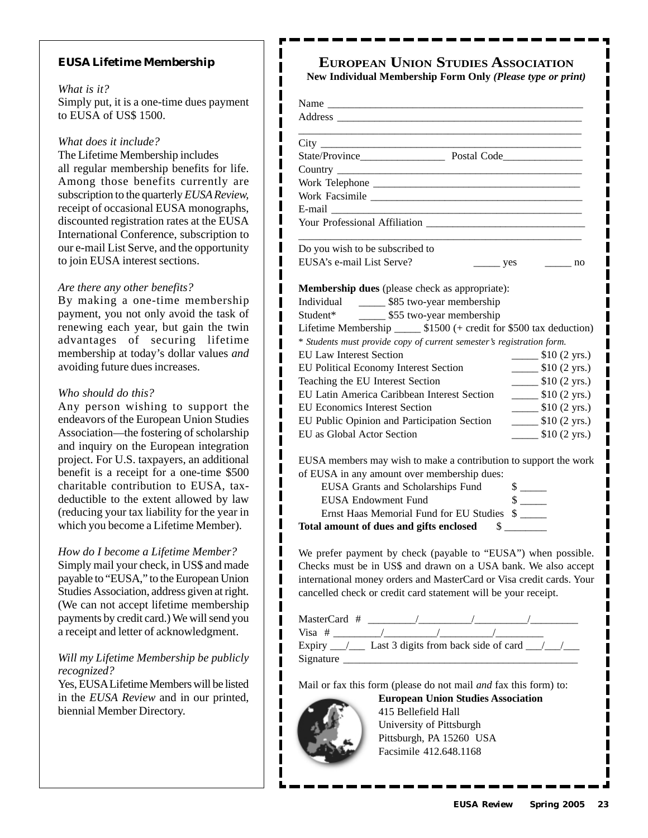#### **EUSA Lifetime Membership**

#### *What is it?*

Simply put, it is a one-time dues payment to EUSA of US\$ 1500.

ı ı

> ı I ı I ı

I I I ı ı I ı  $\blacksquare$ ı I

ı

 $\blacksquare$ I

ı

*What does it include?*

The Lifetime Membership includes all regular membership benefits for life. Among those benefits currently are subscription to the quarterly *EUSA Review,* receipt of occasional EUSA monographs, discounted registration rates at the EUSA International Conference, subscription to our e-mail List Serve, and the opportunity to join EUSA interest sections.

#### *Are there any other benefits?*

By making a one-time membership payment, you not only avoid the task of renewing each year, but gain the twin advantages of securing lifetime membership at today's dollar values *and* avoiding future dues increases.

#### *Who should do this?*

Any person wishing to support the endeavors of the European Union Studies Association—the fostering of scholarship and inquiry on the European integration project. For U.S. taxpayers, an additional benefit is a receipt for a one-time \$500 charitable contribution to EUSA, taxdeductible to the extent allowed by law (reducing your tax liability for the year in which you become a Lifetime Member).

#### *How do I become a Lifetime Member?*

Simply mail your check, in US\$ and made payable to "EUSA," to the European Union Studies Association, address given at right. (We can not accept lifetime membership payments by credit card.) We will send you a receipt and letter of acknowledgment.

#### *Will my Lifetime Membership be publicly recognized?*

Yes, EUSA Lifetime Members will be listed in the *EUSA Review* and in our printed, biennial Member Directory.

# **EUROPEAN UNION STUDIES ASSOCIATION**

**New Individual Membership Form Only** *(Please type or print)*

| Do you wish to be subscribed to                                                                                                                                                                                                              |                                             |
|----------------------------------------------------------------------------------------------------------------------------------------------------------------------------------------------------------------------------------------------|---------------------------------------------|
| EUSA's e-mail List Serve?<br>yes                                                                                                                                                                                                             | no no                                       |
| Individual ________ \$85 two-year membership<br>Student* ________ \$55 two-year membership<br>Lifetime Membership _______ \$1500 (+ credit for \$500 tax deduction)<br>* Students must provide copy of current semester's registration form. |                                             |
| <b>EU Law Interest Section</b>                                                                                                                                                                                                               | $\frac{\text{I}}{\text{I}}$ \$10 (2 yrs.)   |
| EU Political Economy Interest Section                                                                                                                                                                                                        | $\frac{\text{I}}{\text{I}}$ \$10 (2 yrs.)   |
| Teaching the EU Interest Section                                                                                                                                                                                                             | $\frac{\text{I}}{\text{I}}(2 \text{ yrs.})$ |
| EU Latin America Caribbean Interest Section                                                                                                                                                                                                  | $\frac{\text{I}}{\text{I}}$ \$10 (2 yrs.)   |
| <b>EU Economics Interest Section</b>                                                                                                                                                                                                         | $\frac{\text{I}}{\text{I}}(2 \text{ yrs.})$ |
| EU Public Opinion and Participation Section                                                                                                                                                                                                  | $\frac{\text{I}}{\text{I}}$ \$10 (2 yrs.)   |
| EU as Global Actor Section                                                                                                                                                                                                                   | $\frac{\text{I}}{\text{I}}$ \$10 (2 yrs.)   |
| EUSA members may wish to make a contribution to support the work                                                                                                                                                                             |                                             |
| of EUSA in any amount over membership dues:                                                                                                                                                                                                  |                                             |
| EUSA Grants and Scholarships Fund                                                                                                                                                                                                            | $\frac{\text{S}}{\text{S}}$                 |
| <b>EUSA Endowment Fund</b>                                                                                                                                                                                                                   | $\frac{\text{S}}{\text{S}}$                 |
| Ernst Haas Memorial Fund for EU Studies                                                                                                                                                                                                      | $\frac{\text{S}}{\text{S}}$                 |
| Total amount of dues and gifts enclosed                                                                                                                                                                                                      | \$                                          |

We prefer payment by check (payable to "EUSA") when possible. Checks must be in US\$ and drawn on a USA bank. We also accept international money orders and MasterCard or Visa credit cards. Your cancelled check or credit card statement will be your receipt.

| MasterCard #                                                     |  |  |  |
|------------------------------------------------------------------|--|--|--|
| Visa $#$                                                         |  |  |  |
| Expiry $\frac{1}{\sqrt{2}}$ Last 3 digits from back side of card |  |  |  |
| Signature                                                        |  |  |  |

Mail or fax this form (please do not mail *and* fax this form) to:



**European Union Studies Association** 415 Bellefield Hall University of Pittsburgh Pittsburgh, PA 15260 USA Facsimile 412.648.1168